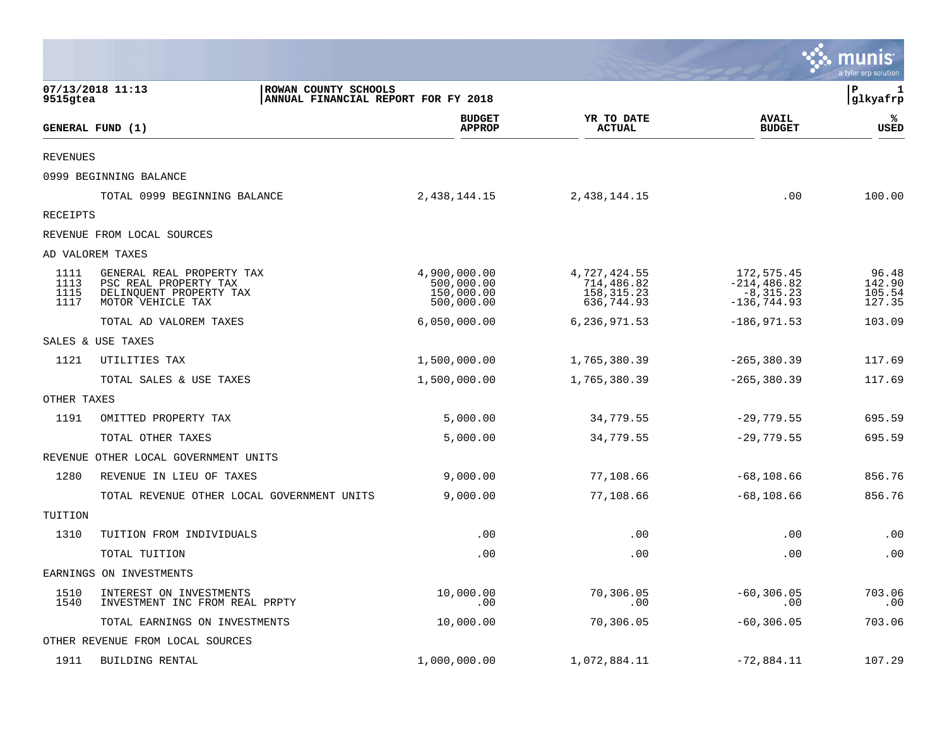|                              |                                                                                                    |                                                        |                                                          |                                                                | nıs<br>a tvler erp solutior         |
|------------------------------|----------------------------------------------------------------------------------------------------|--------------------------------------------------------|----------------------------------------------------------|----------------------------------------------------------------|-------------------------------------|
| 9515gtea                     | 07/13/2018 11:13<br>ROWAN COUNTY SCHOOLS                                                           | ANNUAL FINANCIAL REPORT FOR FY 2018                    |                                                          |                                                                | ΙP<br>1<br> glkyafrp                |
|                              | GENERAL FUND (1)                                                                                   | <b>BUDGET</b><br><b>APPROP</b>                         | YR TO DATE<br><b>ACTUAL</b>                              | <b>AVAIL</b><br><b>BUDGET</b>                                  | ℁<br><b>USED</b>                    |
| <b>REVENUES</b>              |                                                                                                    |                                                        |                                                          |                                                                |                                     |
|                              | 0999 BEGINNING BALANCE                                                                             |                                                        |                                                          |                                                                |                                     |
|                              | TOTAL 0999 BEGINNING BALANCE                                                                       | 2, 438, 144. 15                                        | 2,438,144.15                                             | .00                                                            | 100.00                              |
| RECEIPTS                     |                                                                                                    |                                                        |                                                          |                                                                |                                     |
|                              | REVENUE FROM LOCAL SOURCES                                                                         |                                                        |                                                          |                                                                |                                     |
|                              | AD VALOREM TAXES                                                                                   |                                                        |                                                          |                                                                |                                     |
| 1111<br>1113<br>1115<br>1117 | GENERAL REAL PROPERTY TAX<br>PSC REAL PROPERTY TAX<br>DELINQUENT PROPERTY TAX<br>MOTOR VEHICLE TAX | 4,900,000.00<br>500,000.00<br>150,000.00<br>500,000.00 | 4,727,424.55<br>714,486.82<br>158, 315. 23<br>636,744.93 | 172,575.45<br>$-214, 486.82$<br>$-8, 315.23$<br>$-136, 744.93$ | 96.48<br>142.90<br>105.54<br>127.35 |
|                              | TOTAL AD VALOREM TAXES                                                                             | 6,050,000.00                                           | 6,236,971.53                                             | $-186,971.53$                                                  | 103.09                              |
|                              | SALES & USE TAXES                                                                                  |                                                        |                                                          |                                                                |                                     |
| 1121                         | UTILITIES TAX                                                                                      | 1,500,000.00                                           | 1,765,380.39                                             | $-265, 380.39$                                                 | 117.69                              |
|                              | TOTAL SALES & USE TAXES                                                                            | 1,500,000.00                                           | 1,765,380.39                                             | $-265, 380.39$                                                 | 117.69                              |
| OTHER TAXES                  |                                                                                                    |                                                        |                                                          |                                                                |                                     |
| 1191                         | OMITTED PROPERTY TAX                                                                               | 5,000.00                                               | 34,779.55                                                | $-29,779.55$                                                   | 695.59                              |
|                              | TOTAL OTHER TAXES                                                                                  | 5,000.00                                               | 34,779.55                                                | $-29,779.55$                                                   | 695.59                              |
|                              | REVENUE OTHER LOCAL GOVERNMENT UNITS                                                               |                                                        |                                                          |                                                                |                                     |
| 1280                         | REVENUE IN LIEU OF TAXES                                                                           | 9,000.00                                               | 77,108.66                                                | $-68, 108.66$                                                  | 856.76                              |
|                              | TOTAL REVENUE OTHER LOCAL GOVERNMENT UNITS                                                         | 9,000.00                                               | 77,108.66                                                | $-68, 108.66$                                                  | 856.76                              |
| TUITION                      |                                                                                                    |                                                        |                                                          |                                                                |                                     |
| 1310                         | TUITION FROM INDIVIDUALS                                                                           | .00                                                    | .00                                                      | .00                                                            | .00                                 |
|                              | TOTAL TUITION                                                                                      | .00                                                    | .00                                                      | .00                                                            | .00                                 |
|                              | EARNINGS ON INVESTMENTS                                                                            |                                                        |                                                          |                                                                |                                     |
| 1510<br>1540                 | INTEREST ON INVESTMENTS<br>INVESTMENT INC FROM REAL PRPTY                                          | 10,000.00<br>.00                                       | 70,306.05<br>.00                                         | $-60, 306.05$<br>.00                                           | 703.06<br>.00                       |
|                              | TOTAL EARNINGS ON INVESTMENTS                                                                      | 10,000.00                                              | 70,306.05                                                | $-60, 306.05$                                                  | 703.06                              |
|                              | OTHER REVENUE FROM LOCAL SOURCES                                                                   |                                                        |                                                          |                                                                |                                     |
| 1911                         | BUILDING RENTAL                                                                                    | 1,000,000.00                                           | 1,072,884.11                                             | $-72,884.11$                                                   | 107.29                              |

and the company of the company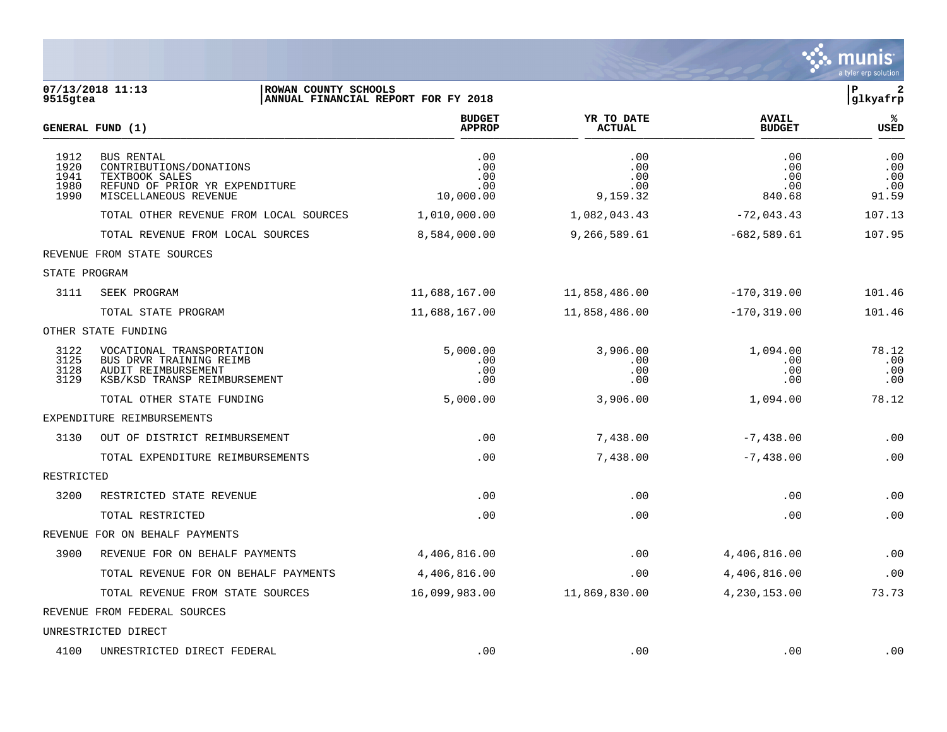

| 9515gtea                             | 07/13/2018 11:13<br>ROWAN COUNTY SCHOOLS                                                                                  | ANNUAL FINANCIAL REPORT FOR FY 2018   |                                      |                                    | $\, {\bf P}$<br>$\mathbf{2}$<br>glkyafrp |
|--------------------------------------|---------------------------------------------------------------------------------------------------------------------------|---------------------------------------|--------------------------------------|------------------------------------|------------------------------------------|
|                                      | GENERAL FUND (1)                                                                                                          | <b>BUDGET</b><br><b>APPROP</b>        | YR TO DATE<br><b>ACTUAL</b>          | <b>AVAIL</b><br><b>BUDGET</b>      | ℁<br><b>USED</b>                         |
| 1912<br>1920<br>1941<br>1980<br>1990 | <b>BUS RENTAL</b><br>CONTRIBUTIONS/DONATIONS<br>TEXTBOOK SALES<br>REFUND OF PRIOR YR EXPENDITURE<br>MISCELLANEOUS REVENUE | .00<br>.00<br>.00<br>.00<br>10,000.00 | .00<br>.00<br>.00<br>.00<br>9,159.32 | .00<br>.00<br>.00<br>.00<br>840.68 | .00<br>.00<br>.00<br>.00<br>91.59        |
|                                      | TOTAL OTHER REVENUE FROM LOCAL SOURCES                                                                                    | 1,010,000.00                          | 1,082,043.43                         | $-72,043.43$                       | 107.13                                   |
|                                      | TOTAL REVENUE FROM LOCAL SOURCES                                                                                          | 8,584,000.00                          | 9,266,589.61                         | $-682,589.61$                      | 107.95                                   |
|                                      | REVENUE FROM STATE SOURCES                                                                                                |                                       |                                      |                                    |                                          |
| STATE PROGRAM                        |                                                                                                                           |                                       |                                      |                                    |                                          |
| 3111                                 | SEEK PROGRAM                                                                                                              | 11,688,167.00                         | 11,858,486.00                        | $-170, 319.00$                     | 101.46                                   |
|                                      | TOTAL STATE PROGRAM                                                                                                       | 11,688,167.00                         | 11,858,486.00                        | $-170, 319.00$                     | 101.46                                   |
|                                      | OTHER STATE FUNDING                                                                                                       |                                       |                                      |                                    |                                          |
| 3122<br>3125<br>3128<br>3129         | VOCATIONAL TRANSPORTATION<br>BUS DRVR TRAINING REIMB<br>AUDIT REIMBURSEMENT<br>KSB/KSD TRANSP REIMBURSEMENT               | 5.000.00<br>.00<br>.00<br>.00         | 3,906.00<br>.00<br>.00<br>.00        | 1,094.00<br>.00<br>.00<br>.00      | 78.12<br>.00<br>.00<br>.00               |
|                                      | TOTAL OTHER STATE FUNDING                                                                                                 | 5,000.00                              | 3,906.00                             | 1,094.00                           | 78.12                                    |
|                                      | EXPENDITURE REIMBURSEMENTS                                                                                                |                                       |                                      |                                    |                                          |
| 3130                                 | OUT OF DISTRICT REIMBURSEMENT                                                                                             | .00                                   | 7,438.00                             | $-7,438.00$                        | .00                                      |
|                                      | TOTAL EXPENDITURE REIMBURSEMENTS                                                                                          | .00                                   | 7,438.00                             | $-7,438.00$                        | .00                                      |
| RESTRICTED                           |                                                                                                                           |                                       |                                      |                                    |                                          |
| 3200                                 | RESTRICTED STATE REVENUE                                                                                                  | .00                                   | .00                                  | .00                                | .00                                      |
|                                      | TOTAL RESTRICTED                                                                                                          | .00                                   | .00                                  | .00                                | .00                                      |
|                                      | REVENUE FOR ON BEHALF PAYMENTS                                                                                            |                                       |                                      |                                    |                                          |
| 3900                                 | REVENUE FOR ON BEHALF PAYMENTS                                                                                            | 4,406,816.00                          | .00                                  | 4,406,816.00                       | .00                                      |
|                                      | TOTAL REVENUE FOR ON BEHALF PAYMENTS                                                                                      | 4,406,816.00                          | .00                                  | 4,406,816.00                       | .00                                      |
|                                      | TOTAL REVENUE FROM STATE SOURCES                                                                                          | 16,099,983.00                         | 11,869,830.00                        | 4,230,153.00                       | 73.73                                    |
|                                      | REVENUE FROM FEDERAL SOURCES                                                                                              |                                       |                                      |                                    |                                          |
|                                      | UNRESTRICTED DIRECT                                                                                                       |                                       |                                      |                                    |                                          |

4100 UNRESTRICTED DIRECT FEDERAL .00 .00 .00 .00 .00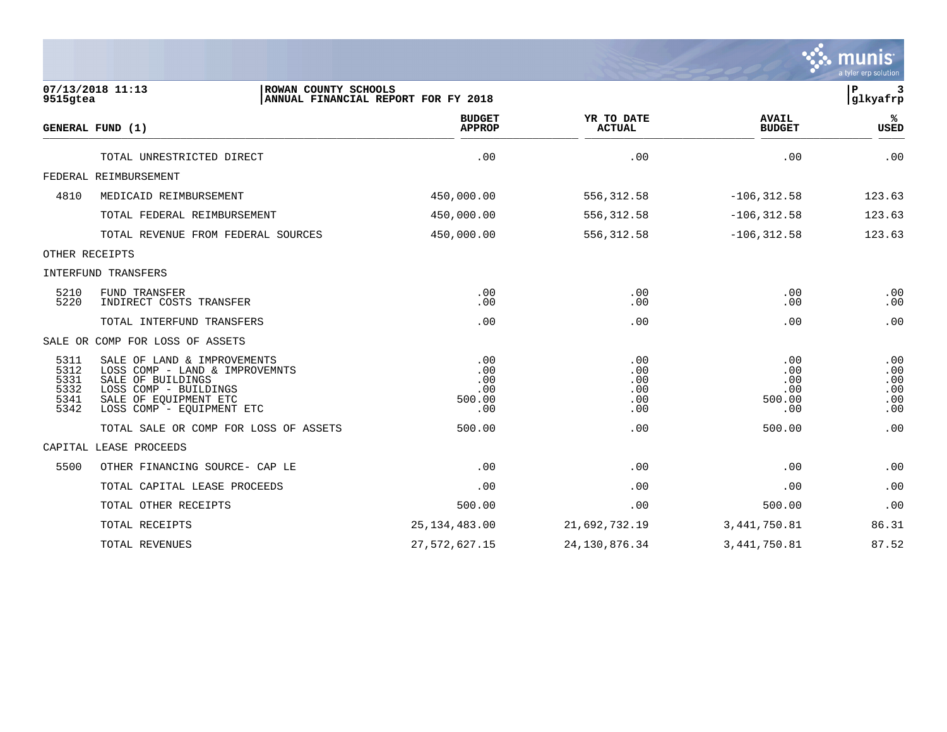|                                              |                                                                                                                                                                   |                                           |                                        |                                           | munis<br>a tyler erp solution          |
|----------------------------------------------|-------------------------------------------------------------------------------------------------------------------------------------------------------------------|-------------------------------------------|----------------------------------------|-------------------------------------------|----------------------------------------|
| 9515gtea                                     | 07/13/2018 11:13<br>ROWAN COUNTY SCHOOLS                                                                                                                          | ANNUAL FINANCIAL REPORT FOR FY 2018       |                                        |                                           | ${\bf P}$<br>3<br>glkyafrp             |
|                                              | GENERAL FUND (1)                                                                                                                                                  | <b>BUDGET</b><br><b>APPROP</b>            | YR TO DATE<br><b>ACTUAL</b>            | <b>AVAIL</b><br><b>BUDGET</b>             | ℁<br>USED                              |
|                                              | TOTAL UNRESTRICTED DIRECT                                                                                                                                         | .00                                       | .00                                    | .00                                       | .00                                    |
|                                              | FEDERAL REIMBURSEMENT                                                                                                                                             |                                           |                                        |                                           |                                        |
| 4810                                         | MEDICAID REIMBURSEMENT                                                                                                                                            | 450,000.00                                | 556, 312.58                            | $-106, 312.58$                            | 123.63                                 |
|                                              | TOTAL FEDERAL REIMBURSEMENT                                                                                                                                       | 450,000.00                                | 556, 312.58                            | $-106, 312.58$                            | 123.63                                 |
|                                              | TOTAL REVENUE FROM FEDERAL SOURCES                                                                                                                                | 450,000.00                                | 556, 312.58                            | $-106, 312.58$                            | 123.63                                 |
|                                              | OTHER RECEIPTS                                                                                                                                                    |                                           |                                        |                                           |                                        |
|                                              | INTERFUND TRANSFERS                                                                                                                                               |                                           |                                        |                                           |                                        |
| 5210<br>5220                                 | FUND TRANSFER<br>INDIRECT COSTS TRANSFER                                                                                                                          | .00<br>.00                                | .00<br>.00                             | .00<br>.00                                | .00<br>.00                             |
|                                              | TOTAL INTERFUND TRANSFERS                                                                                                                                         | .00                                       | .00                                    | .00                                       | .00                                    |
|                                              | SALE OR COMP FOR LOSS OF ASSETS                                                                                                                                   |                                           |                                        |                                           |                                        |
| 5311<br>5312<br>5331<br>5332<br>5341<br>5342 | SALE OF LAND & IMPROVEMENTS<br>LOSS COMP - LAND & IMPROVEMNTS<br>SALE OF BUILDINGS<br>LOSS COMP - BUILDINGS<br>SALE OF EOUIPMENT ETC<br>LOSS COMP - EQUIPMENT ETC | .00<br>.00<br>.00<br>.00<br>500.00<br>.00 | .00<br>.00<br>.00<br>.00<br>.00<br>.00 | .00<br>.00<br>.00<br>.00<br>500.00<br>.00 | .00<br>.00<br>.00<br>.00<br>.00<br>.00 |
|                                              | TOTAL SALE OR COMP FOR LOSS OF ASSETS                                                                                                                             | 500.00                                    | .00                                    | 500.00                                    | .00                                    |
|                                              | CAPITAL LEASE PROCEEDS                                                                                                                                            |                                           |                                        |                                           |                                        |
| 5500                                         | OTHER FINANCING SOURCE- CAP LE                                                                                                                                    | .00                                       | .00                                    | .00                                       | .00                                    |
|                                              | TOTAL CAPITAL LEASE PROCEEDS                                                                                                                                      | .00                                       | .00                                    | .00                                       | .00                                    |
|                                              | TOTAL OTHER RECEIPTS                                                                                                                                              | 500.00                                    | .00                                    | 500.00                                    | .00                                    |
|                                              | TOTAL RECEIPTS                                                                                                                                                    | 25, 134, 483.00                           | 21,692,732.19                          | 3, 441, 750.81                            | 86.31                                  |
|                                              | TOTAL REVENUES                                                                                                                                                    | 27, 572, 627.15                           | 24, 130, 876.34                        | 3, 441, 750.81                            | 87.52                                  |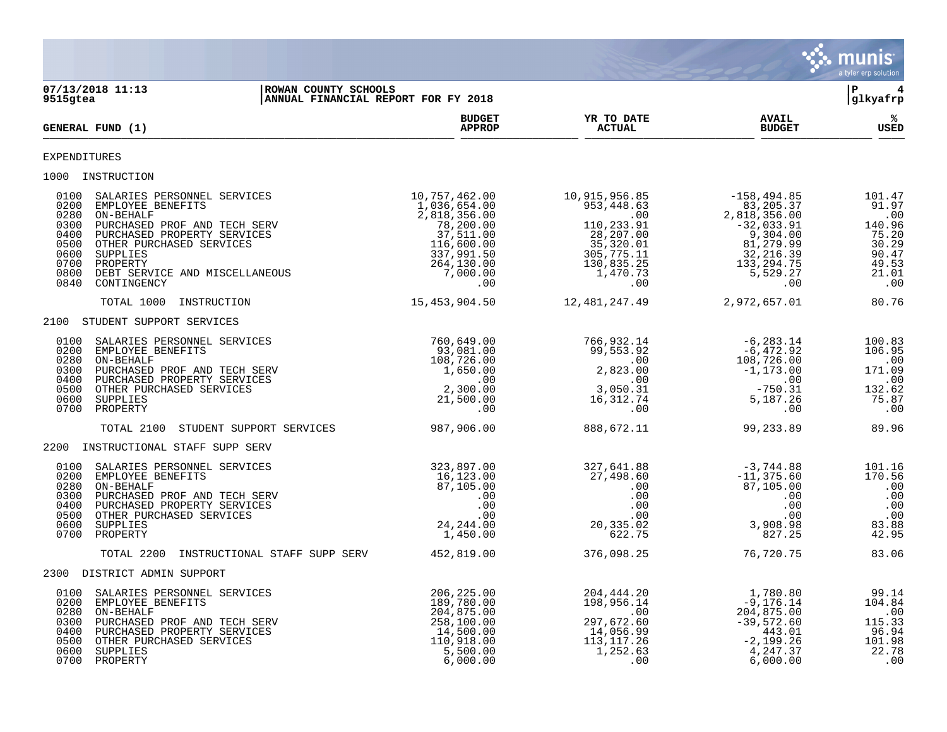

| 9515gtea                                                                     | 07/13/2018 11:13<br>ROWAN COUNTY SCHOOLS<br>ANNUAL FINANCIAL REPORT FOR FY 2018                                                                                                                                                   |                                                                                                                                                      |                                                                                                                                                                                                                                             |                                                                                                      | l P<br>$\overline{\mathbf{4}}$<br> glkyafrp                                                 |
|------------------------------------------------------------------------------|-----------------------------------------------------------------------------------------------------------------------------------------------------------------------------------------------------------------------------------|------------------------------------------------------------------------------------------------------------------------------------------------------|---------------------------------------------------------------------------------------------------------------------------------------------------------------------------------------------------------------------------------------------|------------------------------------------------------------------------------------------------------|---------------------------------------------------------------------------------------------|
|                                                                              | GENERAL FUND (1)                                                                                                                                                                                                                  | <b>BUDGET</b><br><b>APPROP</b>                                                                                                                       | YR TO DATE<br><b>ACTUAL</b>                                                                                                                                                                                                                 | <b>AVAIL</b><br><b>BUDGET</b>                                                                        | %ะ<br><b>USED</b>                                                                           |
| <b>EXPENDITURES</b>                                                          |                                                                                                                                                                                                                                   |                                                                                                                                                      |                                                                                                                                                                                                                                             |                                                                                                      |                                                                                             |
|                                                                              | 1000 INSTRUCTION                                                                                                                                                                                                                  |                                                                                                                                                      |                                                                                                                                                                                                                                             |                                                                                                      |                                                                                             |
| 0100<br>0200<br>0280<br>0300<br>0400<br>0500<br>0600<br>0700<br>0800<br>0840 | SALARIES PERSONNEL SERVICES<br>EMPLOYEE BENEFITS<br>ON-BEHALF<br>PURCHASED PROF AND TECH SERV<br>PURCHASED PROPERTY SERVICES<br>OTHER PURCHASED SERVICES<br>SUPPLIES<br>PROPERTY<br>DEBT SERVICE AND MISCELLANEOUS<br>CONTINGENCY | 10,757,462.00<br>$1,036,654.00$<br>$2,818,356.00$<br>$78,200.00$<br>$37,511.00$<br>$116,600.00$<br>$337,991.50$<br>$264,130.00$<br>$7,000.00$<br>$0$ | 10,915,956.85<br>$\begin{array}{cccc} 953,448.63 & -156,494.85 \\ .00 & 83,205.391 \\ 110,233.91 & 2,818,356.00 \\ 2,818,356.00 & 35,320.01 & 9,304.00 \\ 35,320.01 & 81,279.99 \\ 130,835.7551 & 32,216.37 \\ 1,470.73 & 0 \\ \end{array}$ | $-158,494.85$                                                                                        | 101.47<br>91.97<br>$\cdot$ 00<br>140.96<br>75.20<br>30.29<br>90.47<br>49.53<br>21.01<br>.00 |
|                                                                              | TOTAL 1000<br>INSTRUCTION                                                                                                                                                                                                         | 15,453,904.50                                                                                                                                        | 12, 481, 247.49                                                                                                                                                                                                                             | 2,972,657.01                                                                                         | 80.76                                                                                       |
|                                                                              | 2100 STUDENT SUPPORT SERVICES                                                                                                                                                                                                     |                                                                                                                                                      |                                                                                                                                                                                                                                             |                                                                                                      |                                                                                             |
| 0100<br>0200<br>0280<br>0400<br>0500<br>0600                                 | SALARIES PERSONNEL SERVICES<br>EMPLOYEE BENEFITS<br>ON-BEHALF<br>0300 PURCHASED PROF AND TECH SERV<br>PURCHASED PROPERTY SERVICES<br>OTHER PURCHASED SERVICES<br>SUPPLIES<br>0700 PROPERTY                                        |                                                                                                                                                      | 766,932.14<br>99,553.92<br>00                                                                                                                                                                                                               |                                                                                                      | 100.83<br>106.95<br>.00<br>171.09<br>$\,$ .00<br>132.62<br>75.87<br>$\ldots$                |
|                                                                              | STUDENT SUPPORT SERVICES<br>TOTAL 2100                                                                                                                                                                                            |                                                                                                                                                      |                                                                                                                                                                                                                                             |                                                                                                      | 89.96                                                                                       |
|                                                                              | 2200 INSTRUCTIONAL STAFF SUPP SERV                                                                                                                                                                                                |                                                                                                                                                      |                                                                                                                                                                                                                                             |                                                                                                      |                                                                                             |
| 0100<br>0200<br>0280<br>0300<br>0400<br>0500<br>0600<br>0700                 | SALARIES PERSONNEL SERVICES<br>EMPLOYEE BENEFITS<br>ON-BEHALF<br>PURCHASED PROF AND TECH SERV<br>PURCHASED PROPERTY SERVICES<br>OTHER PURCHASED SERVICES<br>SUPPLIES<br>PROPERTY                                                  | 323,897.00<br>16, 123.00<br>$\begin{array}{r} 16,105 \\ 87,105.00 \\ .00 \\ .00 \\ .00 \\ 24,244.00 \\ 1\quad450.00 \end{array}$                     | 327,641.88<br>27,498.60<br>.00<br>.00<br>.00<br>.00<br>00 .<br>02 . 23 , 20<br>622.75                                                                                                                                                       | -3,744.88<br>-11,375.60<br>87,105.00<br>.00<br>.00<br>.00<br>.uu<br>3,908.98<br>827.25               | 101.16<br>170.56<br>.00<br>.00<br>.00<br>.00<br>83.88<br>42.95                              |
|                                                                              | TOTAL 2200 INSTRUCTIONAL STAFF SUPP SERV                                                                                                                                                                                          | 452,819.00                                                                                                                                           | 376,098.25                                                                                                                                                                                                                                  | 76,720.75                                                                                            | 83.06                                                                                       |
|                                                                              | 2300 DISTRICT ADMIN SUPPORT                                                                                                                                                                                                       |                                                                                                                                                      |                                                                                                                                                                                                                                             |                                                                                                      |                                                                                             |
| 0100<br>0200<br>0280<br>0300<br>0400<br>0500<br>0600                         | SALARIES PERSONNEL SERVICES<br>EMPLOYEE BENEFITS<br>ON-BEHALF<br>PURCHASED PROF AND TECH SERV<br>PURCHASED PROPERTY SERVICES<br>OTHER PURCHASED SERVICES<br>SUPPLIES<br>0700 PROPERTY                                             | 206,225.00<br>189,780.00<br>204,875.00<br>258,100.00<br>14,500.00<br>110,918.00<br>5,500.00<br>6,000.00                                              | 204,444.20<br>198,956.14<br>$\sim$ 00<br>297,672.60<br>14,056.99<br>113, 117.26<br>1,252.63<br>.00                                                                                                                                          | 1,780.80<br>-9,176.14<br>204,875.00<br>$-39,572.60$<br>443.01<br>$-2,199.26$<br>4,247.37<br>6,000.00 | 99.14<br>104.84<br>.00<br>115.33<br>96.94<br>101.98<br>22.78<br>.00                         |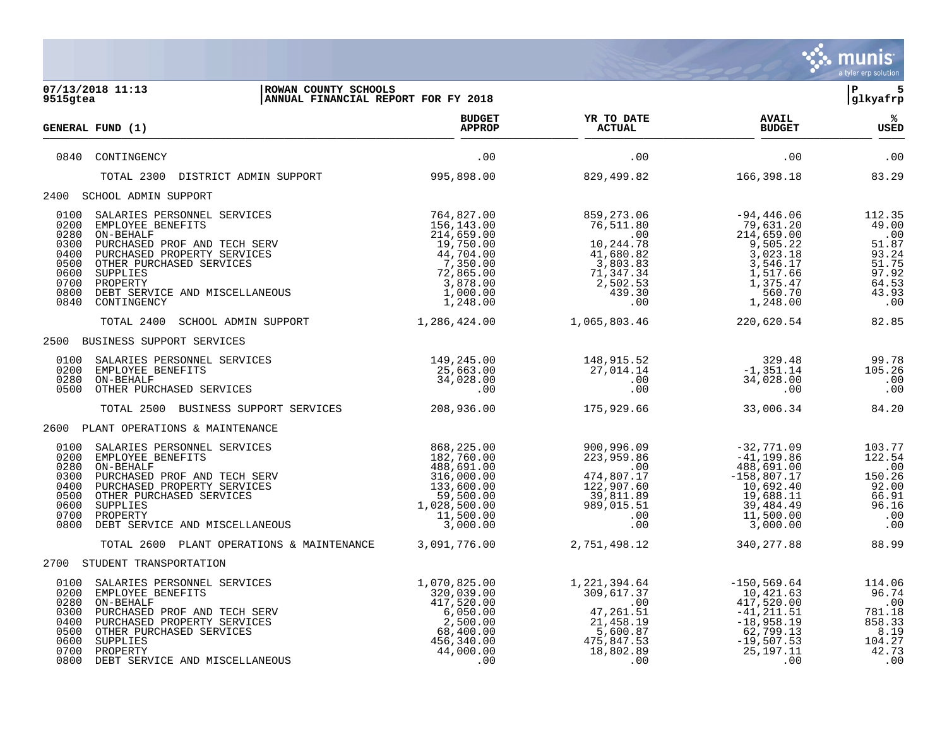|                                                                                                                                                                                                                                                                                                                   |                                                                                                                               |                                                                                                                      |                                                                                                                              | mu<br>a tyler erp solution                                                          |
|-------------------------------------------------------------------------------------------------------------------------------------------------------------------------------------------------------------------------------------------------------------------------------------------------------------------|-------------------------------------------------------------------------------------------------------------------------------|----------------------------------------------------------------------------------------------------------------------|------------------------------------------------------------------------------------------------------------------------------|-------------------------------------------------------------------------------------|
| 07/13/2018 11:13<br>ROWAN COUNTY SCHOOLS<br>ANNUAL FINANCIAL REPORT FOR FY 2018<br>9515gtea                                                                                                                                                                                                                       |                                                                                                                               |                                                                                                                      |                                                                                                                              | l P<br>5<br>glkyafrp                                                                |
| GENERAL FUND (1)                                                                                                                                                                                                                                                                                                  | <b>BUDGET</b><br><b>APPROP</b>                                                                                                | YR TO DATE<br>ACTUAL                                                                                                 | <b>AVAIL</b><br><b>BUDGET</b>                                                                                                | %ะ<br>USED                                                                          |
| 0840<br>CONTINGENCY                                                                                                                                                                                                                                                                                               | .00                                                                                                                           | .00                                                                                                                  | .00                                                                                                                          | .00                                                                                 |
| TOTAL 2300<br>DISTRICT ADMIN SUPPORT                                                                                                                                                                                                                                                                              | 995,898.00                                                                                                                    | 829,499.82                                                                                                           | 166,398.18                                                                                                                   | 83.29                                                                               |
| 2400 SCHOOL ADMIN SUPPORT                                                                                                                                                                                                                                                                                         |                                                                                                                               |                                                                                                                      |                                                                                                                              |                                                                                     |
| 0100<br>SALARIES PERSONNEL SERVICES<br>0200<br>EMPLOYEE BENEFITS<br>ON-BEHALF<br>0280<br>0300<br>PURCHASED PROF AND TECH SERV<br>0400<br>PURCHASED PROPERTY SERVICES<br>0500<br>OTHER PURCHASED SERVICES<br>0600<br>SUPPLIES<br>0700<br>PROPERTY<br>0800<br>DEBT SERVICE AND MISCELLANEOUS<br>0840<br>CONTINGENCY | 764,827.00<br>156,143.00<br>214,659.00<br>19,750.00<br>44,704.00<br>7,350.00<br>72,865.00<br>3,878.00<br>1,000.00<br>1,248.00 | 859,273.06<br>76,511.80<br>$\sim 00$<br>10,244.78<br>41,680.82<br>3,803.83<br>71,347.34<br>2,502.53<br>439.30<br>.00 | $-94,446.06$<br>79,631.20<br>214,659.00<br>9,505.22<br>3,023.18<br>3,546.17<br>1,517.66<br>1,375.47<br>560.70<br>1,248.00    | 112.35<br>49.00<br>.00<br>51.87<br>93.24<br>51.75<br>97.92<br>64.53<br>43.93<br>.00 |
| TOTAL 2400<br>SCHOOL ADMIN SUPPORT                                                                                                                                                                                                                                                                                | 1,286,424.00                                                                                                                  | 1,065,803.46                                                                                                         | 220,620.54                                                                                                                   | 82.85                                                                               |
| 2500 BUSINESS SUPPORT SERVICES                                                                                                                                                                                                                                                                                    |                                                                                                                               |                                                                                                                      |                                                                                                                              |                                                                                     |
| 0100<br>SALARIES PERSONNEL SERVICES<br>0200<br>EMPLOYEE BENEFITS<br>0280<br>ON-BEHALF<br>0500<br>OTHER PURCHASED SERVICES                                                                                                                                                                                         | 149,245.00<br>25,663.00<br>34,028.00<br>.00                                                                                   | 148,915.52<br>27,014.14<br>$.00 \,$<br>.00                                                                           | 329.48<br>$-1, 351.14$<br>34,028.00<br>.00                                                                                   | 99.78<br>105.26<br>.00<br>.00                                                       |
| TOTAL 2500 BUSINESS SUPPORT SERVICES                                                                                                                                                                                                                                                                              | 208,936.00                                                                                                                    | 175,929.66                                                                                                           | 33,006.34                                                                                                                    | 84.20                                                                               |
| 2600 PLANT OPERATIONS & MAINTENANCE                                                                                                                                                                                                                                                                               |                                                                                                                               |                                                                                                                      |                                                                                                                              |                                                                                     |
| 0100<br>SALARIES PERSONNEL SERVICES<br>0200<br>EMPLOYEE BENEFITS<br>0280<br>ON-BEHALF<br>PURCHASED PROF AND TECH SERV<br>0300<br>0400<br>PURCHASED PROPERTY SERVICES<br>0500<br>OTHER PURCHASED SERVICES<br>0600<br>SUPPLIES<br>0700<br>PROPERTY<br>0800<br>DEBT SERVICE AND MISCELLANEOUS                        | 868,225.00<br>182,760.00<br>488,691.00<br>316,000.00<br>133,600.00<br>59,500.00<br>1,028,500.00<br>11,500.00<br>3,000.00      | 900,996.09<br>223,959.86<br>$\sim$ 00<br>474,807.17<br>122,907.60<br>39,811.89<br>989,015.51<br>.00<br>.00           | $-32,771.09$<br>$-41, 199.86$<br>488,691.00<br>$-158,807.17$<br>10,692.40<br>19,688.11<br>39,484.49<br>11,500.00<br>3,000.00 | 103.77<br>122.54<br>.00<br>150.26<br>92.00<br>66.91<br>96.16<br>.00<br>.00          |
| TOTAL 2600 PLANT OPERATIONS & MAINTENANCE                                                                                                                                                                                                                                                                         | 3,091,776.00                                                                                                                  | 2,751,498.12                                                                                                         | 340, 277.88                                                                                                                  | 88.99                                                                               |
| 2700 STUDENT TRANSPORTATION                                                                                                                                                                                                                                                                                       |                                                                                                                               |                                                                                                                      |                                                                                                                              |                                                                                     |
| 0100<br>SALARIES PERSONNEL SERVICES<br>0200<br>EMPLOYEE BENEFITS<br>0280<br>ON-BEHALF<br>0300<br>PURCHASED PROF AND TECH SERV<br>0400 PURCHASED PROPERTY SERVICES<br>0500<br>OTHER PURCHASED SERVICES<br>0600<br>SUPPLIES<br>0700 PROPERTY<br>0800 DEBT SERVICE AND MISCELLANEOUS                                 | 1,070,825.00<br>320,039.00<br>417,520.00<br>6,050.00<br>2,500.00<br>68,400.00<br>456,340.00<br>44,000.00<br>.00               | 1,221,394.64<br>309,617.37<br>.00<br>47, 261.51<br>21,458.19<br>5,600.87<br>475,847.53<br>18,802.89<br>.00           | $-150, 569.64$<br>10,421.63<br>417,520.00<br>-41,211.51<br>$-18,958.19$<br>62,799.13<br>$-19,507.53$<br>25, 197. 11<br>.00   | 114.06<br>96.74<br>.00<br>781.18<br>858.33<br>8.19<br>104.27<br>42.73<br>.00        |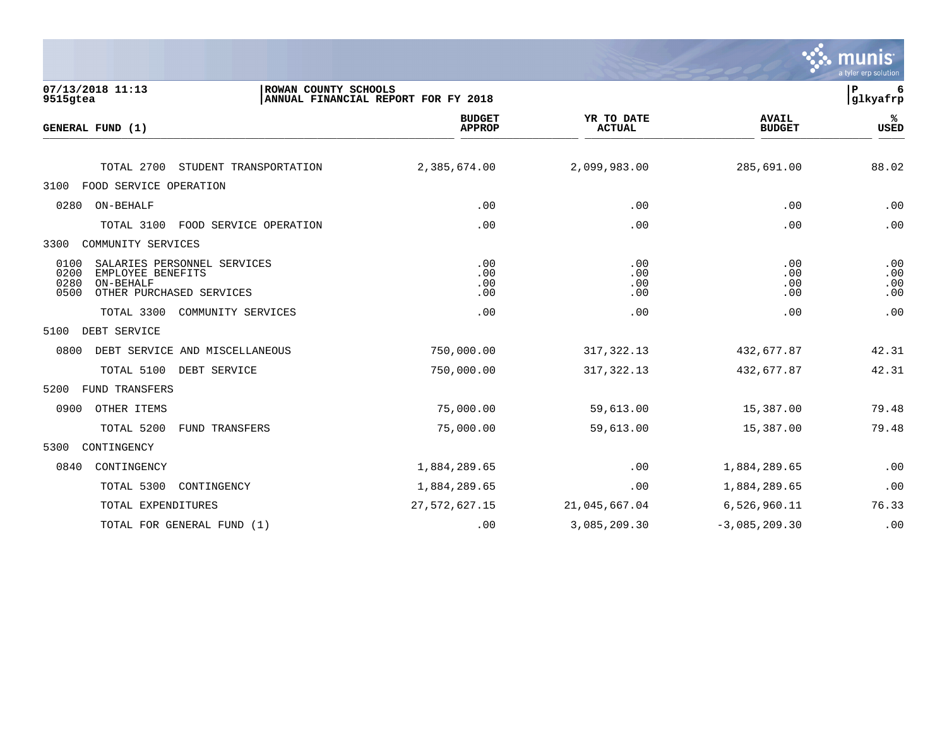|                                                                                                                           |                                                             |                             |                               | mun<br>a tyler erp solution |
|---------------------------------------------------------------------------------------------------------------------------|-------------------------------------------------------------|-----------------------------|-------------------------------|-----------------------------|
| 07/13/2018 11:13<br>9515gtea                                                                                              | ROWAN COUNTY SCHOOLS<br>ANNUAL FINANCIAL REPORT FOR FY 2018 |                             |                               | ${\bf P}$<br>6<br>glkyafrp  |
| GENERAL FUND (1)                                                                                                          | <b>BUDGET</b><br><b>APPROP</b>                              | YR TO DATE<br><b>ACTUAL</b> | <b>AVAIL</b><br><b>BUDGET</b> | ℁<br><b>USED</b>            |
| TOTAL 2700<br>STUDENT TRANSPORTATION                                                                                      | 2,385,674.00                                                | 2,099,983.00                | 285,691.00                    | 88.02                       |
| FOOD SERVICE OPERATION<br>3100                                                                                            |                                                             |                             |                               |                             |
| 0280<br>ON-BEHALF                                                                                                         | .00                                                         | .00                         | .00                           | .00                         |
| TOTAL 3100<br>FOOD SERVICE OPERATION                                                                                      | .00                                                         | .00                         | .00                           | .00                         |
| 3300<br>COMMUNITY SERVICES                                                                                                |                                                             |                             |                               |                             |
| 0100<br>SALARIES PERSONNEL SERVICES<br>0200<br>EMPLOYEE BENEFITS<br>0280<br>ON-BEHALF<br>0500<br>OTHER PURCHASED SERVICES | .00<br>.00<br>.00<br>.00                                    | .00<br>.00<br>.00<br>.00    | .00<br>.00<br>.00<br>.00      | .00<br>.00<br>.00<br>.00    |
| TOTAL 3300<br>COMMUNITY SERVICES                                                                                          | .00                                                         | .00                         | .00                           | .00                         |
| DEBT SERVICE<br>5100                                                                                                      |                                                             |                             |                               |                             |
| 0800<br>DEBT SERVICE AND MISCELLANEOUS                                                                                    | 750,000.00                                                  | 317, 322.13                 | 432,677.87                    | 42.31                       |
| TOTAL 5100<br>DEBT SERVICE                                                                                                | 750,000.00                                                  | 317, 322.13                 | 432,677.87                    | 42.31                       |
| FUND TRANSFERS<br>5200                                                                                                    |                                                             |                             |                               |                             |
| 0900<br>OTHER ITEMS                                                                                                       | 75,000.00                                                   | 59,613.00                   | 15,387.00                     | 79.48                       |
| TOTAL 5200<br>FUND TRANSFERS                                                                                              | 75,000.00                                                   | 59,613.00                   | 15,387.00                     | 79.48                       |
| 5300<br>CONTINGENCY                                                                                                       |                                                             |                             |                               |                             |
| 0840<br>CONTINGENCY                                                                                                       | 1,884,289.65                                                | $.00 \,$                    | 1,884,289.65                  | .00                         |
| TOTAL 5300<br>CONTINGENCY                                                                                                 | 1,884,289.65                                                | .00                         | 1,884,289.65                  | .00                         |
| TOTAL EXPENDITURES                                                                                                        | 27,572,627.15                                               | 21,045,667.04               | 6,526,960.11                  | 76.33                       |
| TOTAL FOR GENERAL FUND (1)                                                                                                | .00                                                         | 3,085,209.30                | $-3,085,209.30$               | .00                         |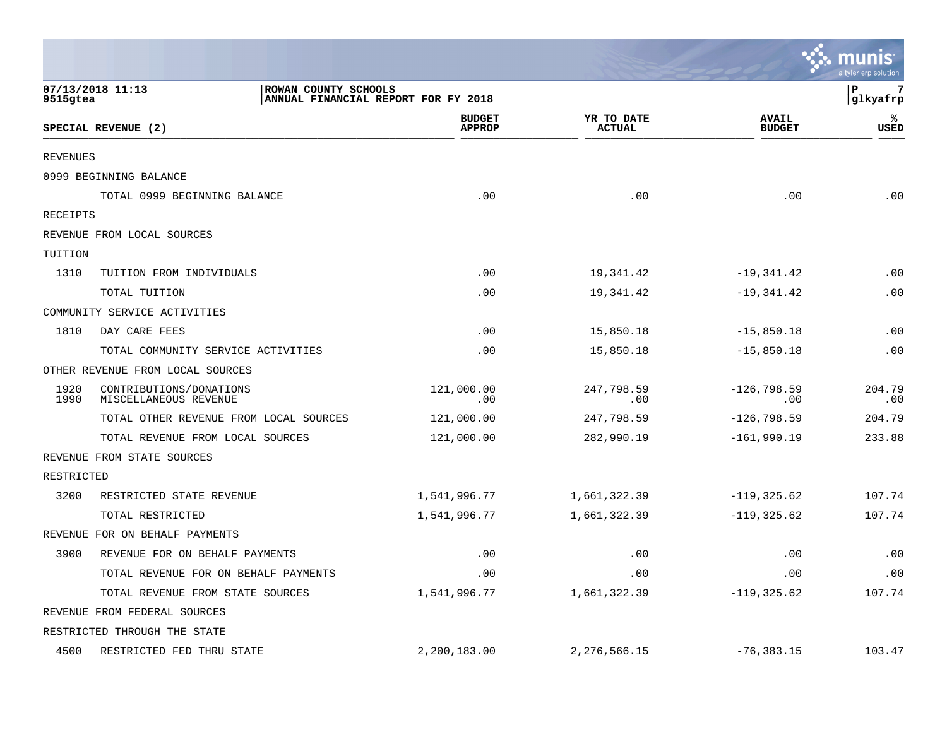|                 |                                                  |                                     |                             |                               | <u>ः munis</u><br>a tyler erp solution |
|-----------------|--------------------------------------------------|-------------------------------------|-----------------------------|-------------------------------|----------------------------------------|
| 9515gtea        | 07/13/2018 11:13<br>ROWAN COUNTY SCHOOLS         | ANNUAL FINANCIAL REPORT FOR FY 2018 |                             |                               | l P<br>7<br>glkyafrp                   |
|                 | SPECIAL REVENUE (2)                              | <b>BUDGET</b><br><b>APPROP</b>      | YR TO DATE<br><b>ACTUAL</b> | <b>AVAIL</b><br><b>BUDGET</b> | ℁<br><b>USED</b>                       |
| <b>REVENUES</b> |                                                  |                                     |                             |                               |                                        |
|                 | 0999 BEGINNING BALANCE                           |                                     |                             |                               |                                        |
|                 | TOTAL 0999 BEGINNING BALANCE                     | .00                                 | .00                         | .00                           | .00                                    |
| RECEIPTS        |                                                  |                                     |                             |                               |                                        |
|                 | REVENUE FROM LOCAL SOURCES                       |                                     |                             |                               |                                        |
| TUITION         |                                                  |                                     |                             |                               |                                        |
| 1310            | TUITION FROM INDIVIDUALS                         | .00                                 | 19,341.42                   | $-19,341.42$                  | .00                                    |
|                 | TOTAL TUITION                                    | .00                                 | 19,341.42                   | $-19,341.42$                  | .00                                    |
|                 | COMMUNITY SERVICE ACTIVITIES                     |                                     |                             |                               |                                        |
| 1810            | DAY CARE FEES                                    | .00                                 | 15,850.18                   | $-15,850.18$                  | .00                                    |
|                 | TOTAL COMMUNITY SERVICE ACTIVITIES               | .00                                 | 15,850.18                   | $-15,850.18$                  | .00                                    |
|                 | OTHER REVENUE FROM LOCAL SOURCES                 |                                     |                             |                               |                                        |
| 1920<br>1990    | CONTRIBUTIONS/DONATIONS<br>MISCELLANEOUS REVENUE | 121,000.00<br>.00                   | 247,798.59<br>.00           | $-126, 798.59$<br>.00         | 204.79<br>.00                          |
|                 | TOTAL OTHER REVENUE FROM LOCAL SOURCES           | 121,000.00                          | 247,798.59                  | $-126,798.59$                 | 204.79                                 |
|                 | TOTAL REVENUE FROM LOCAL SOURCES                 | 121,000.00                          | 282,990.19                  | $-161,990.19$                 | 233.88                                 |
|                 | REVENUE FROM STATE SOURCES                       |                                     |                             |                               |                                        |
| RESTRICTED      |                                                  |                                     |                             |                               |                                        |
| 3200            | RESTRICTED STATE REVENUE                         | 1,541,996.77                        | 1,661,322.39                | $-119, 325.62$                | 107.74                                 |
|                 | TOTAL RESTRICTED                                 | 1,541,996.77                        | 1,661,322.39                | $-119, 325.62$                | 107.74                                 |
|                 | REVENUE FOR ON BEHALF PAYMENTS                   |                                     |                             |                               |                                        |
| 3900            | REVENUE FOR ON BEHALF PAYMENTS                   | .00                                 | .00                         | .00                           | .00                                    |
|                 | TOTAL REVENUE FOR ON BEHALF PAYMENTS             | .00                                 | .00                         | .00                           | .00                                    |
|                 | TOTAL REVENUE FROM STATE SOURCES                 | 1,541,996.77                        | 1,661,322.39                | $-119, 325.62$                | 107.74                                 |
|                 | REVENUE FROM FEDERAL SOURCES                     |                                     |                             |                               |                                        |
|                 | RESTRICTED THROUGH THE STATE                     |                                     |                             |                               |                                        |
| 4500            | RESTRICTED FED THRU STATE                        | 2,200,183.00                        | 2, 276, 566.15              | $-76, 383.15$                 | 103.47                                 |

and the contract of the contract of the contract of the contract of the contract of the contract of the contract of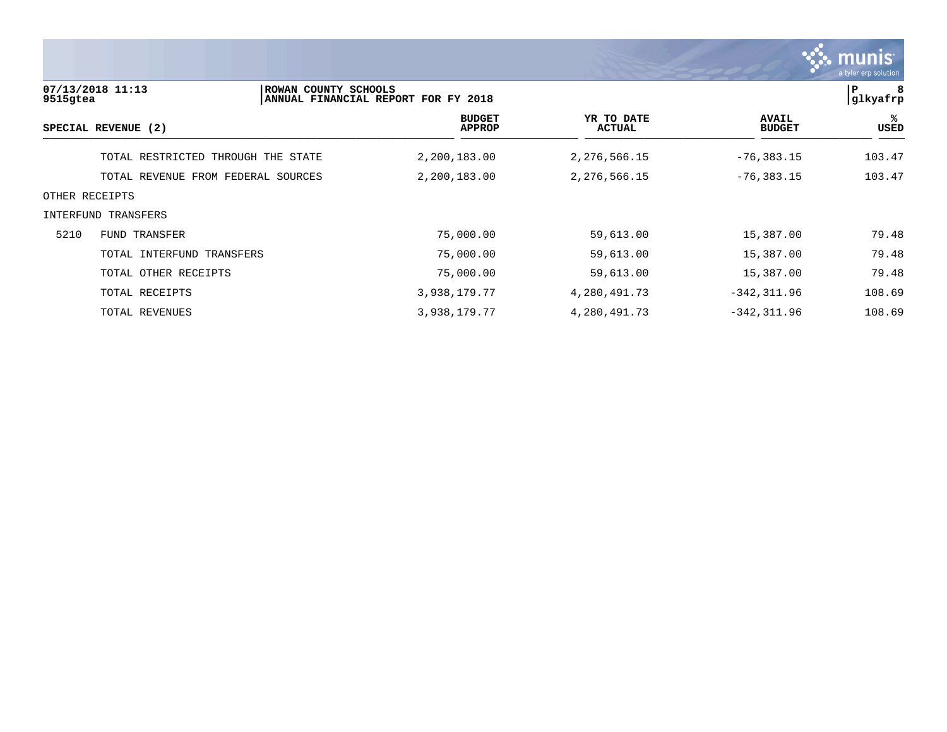

| 9515gtea       | 07/13/2018 11:13                   | ROWAN COUNTY SCHOOLS<br>ANNUAL FINANCIAL REPORT FOR FY 2018 |                                |                             |                               | 8<br>Р<br> glkyafrp |
|----------------|------------------------------------|-------------------------------------------------------------|--------------------------------|-----------------------------|-------------------------------|---------------------|
|                | SPECIAL REVENUE (2)                |                                                             | <b>BUDGET</b><br><b>APPROP</b> | YR TO DATE<br><b>ACTUAL</b> | <b>AVAIL</b><br><b>BUDGET</b> | ႜ<br>USED           |
|                | TOTAL RESTRICTED THROUGH THE STATE |                                                             | 2,200,183.00                   | 2,276,566.15                | $-76, 383.15$                 | 103.47              |
|                | TOTAL REVENUE FROM FEDERAL SOURCES |                                                             | 2,200,183.00                   | 2, 276, 566. 15             | $-76, 383.15$                 | 103.47              |
| OTHER RECEIPTS |                                    |                                                             |                                |                             |                               |                     |
|                | INTERFUND TRANSFERS                |                                                             |                                |                             |                               |                     |
| 5210           | FUND TRANSFER                      |                                                             | 75,000.00                      | 59,613.00                   | 15,387.00                     | 79.48               |
|                | TOTAL INTERFUND TRANSFERS          |                                                             | 75,000.00                      | 59,613.00                   | 15,387.00                     | 79.48               |
|                | TOTAL OTHER RECEIPTS               |                                                             | 75,000.00                      | 59,613.00                   | 15,387.00                     | 79.48               |
|                | TOTAL RECEIPTS                     |                                                             | 3,938,179.77                   | 4,280,491.73                | $-342, 311.96$                | 108.69              |
|                | TOTAL REVENUES                     |                                                             | 3,938,179.77                   | 4,280,491.73                | $-342, 311.96$                | 108.69              |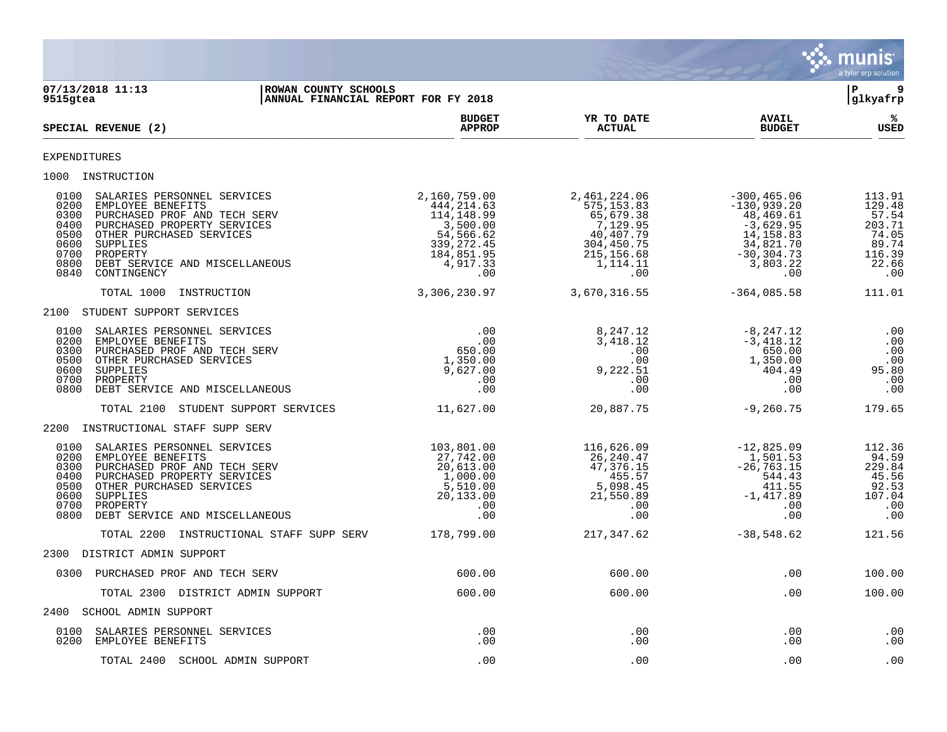

| 07/13/2018 11:13<br>ROWAN COUNTY SCHOOLS<br>ANNUAL FINANCIAL REPORT FOR FY 2018<br>9515gtea                                                                                                                                                                                                  |                                                                                                                   |                                                                                                                    |                                                                                                                           | 9<br>l P<br>glkyafrp                                                            |
|----------------------------------------------------------------------------------------------------------------------------------------------------------------------------------------------------------------------------------------------------------------------------------------------|-------------------------------------------------------------------------------------------------------------------|--------------------------------------------------------------------------------------------------------------------|---------------------------------------------------------------------------------------------------------------------------|---------------------------------------------------------------------------------|
| SPECIAL REVENUE (2)                                                                                                                                                                                                                                                                          | <b>BUDGET</b><br><b>APPROP</b>                                                                                    | YR TO DATE<br><b>ACTUAL</b>                                                                                        | <b>AVAIL</b><br><b>BUDGET</b>                                                                                             | %ะ<br><b>USED</b>                                                               |
| <b>EXPENDITURES</b>                                                                                                                                                                                                                                                                          |                                                                                                                   |                                                                                                                    |                                                                                                                           |                                                                                 |
| 1000 INSTRUCTION                                                                                                                                                                                                                                                                             |                                                                                                                   |                                                                                                                    |                                                                                                                           |                                                                                 |
| 0100<br>SALARIES PERSONNEL SERVICES<br>0200<br>EMPLOYEE BENEFITS<br>0300<br>PURCHASED PROF AND TECH SERV<br>0400<br>PURCHASED PROPERTY SERVICES<br>0500<br>OTHER PURCHASED SERVICES<br>0600<br>SUPPLIES<br>0700<br>PROPERTY<br>0800<br>DEBT SERVICE AND MISCELLANEOUS<br>0840<br>CONTINGENCY | 2,160,759.00<br>444,214.63<br>114,148.99<br>3,500.00<br>54,566.62<br>339, 272.45<br>184,851.95<br>4,917.33<br>.00 | 2,461,224.06<br>575, 153.83<br>65,679.38<br>7,129.95<br>40,407.79<br>304,450.75<br>215, 156.68<br>1, 114.11<br>.00 | $-300, 465.06$<br>$-130,939.20$<br>48,469.61<br>$-3,629.95$<br>14,158.83<br>34,821.70<br>$-30, 304.73$<br>3,803.22<br>.00 | 113.91<br>129.48<br>57.54<br>203.71<br>74.05<br>89.74<br>116.39<br>22.66<br>.00 |
| TOTAL 1000<br>INSTRUCTION                                                                                                                                                                                                                                                                    | 3,306,230.97                                                                                                      | 3,670,316.55                                                                                                       | $-364,085.58$                                                                                                             | 111.01                                                                          |
| 2100 STUDENT SUPPORT SERVICES                                                                                                                                                                                                                                                                |                                                                                                                   |                                                                                                                    |                                                                                                                           |                                                                                 |
| 0100<br>SALARIES PERSONNEL SERVICES<br>0200<br>EMPLOYEE BENEFITS<br>0300<br>PURCHASED PROF AND TECH SERV<br>0500<br>OTHER PURCHASED SERVICES<br>0600<br>SUPPLIES<br>0700<br>PROPERTY<br>0800<br>DEBT SERVICE AND MISCELLANEOUS                                                               | .00<br>.00<br>650.00<br>1,350.00<br>9,627.00<br>$.00 \,$<br>.00                                                   | 8,247.12<br>3,418.12<br>.00<br>.00<br>9,222.51<br>.00<br>.00                                                       | -8,247.12<br>$-3,418.12$<br>650.00<br>050.00<br>1,350.00<br>404.49<br>.00<br>.00                                          | $\overline{\phantom{0}}$ .00<br>.00<br>.00<br>.00<br>95.80<br>.00<br>.00        |
| TOTAL 2100 STUDENT SUPPORT SERVICES                                                                                                                                                                                                                                                          | 11,627.00                                                                                                         | 20,887.75                                                                                                          | $-9,260.75$                                                                                                               | 179.65                                                                          |
| 2200 INSTRUCTIONAL STAFF SUPP SERV                                                                                                                                                                                                                                                           |                                                                                                                   |                                                                                                                    |                                                                                                                           |                                                                                 |
| 0100<br>SALARIES PERSONNEL SERVICES<br>0200<br>EMPLOYEE BENEFITS<br>0300<br>PURCHASED PROF AND TECH SERV<br>0400<br>PURCHASED PROPERTY SERVICES<br>0500<br>OTHER PURCHASED SERVICES<br>0600<br>SUPPLIES<br>0700<br>PROPERTY<br>0800<br>DEBT SERVICE AND MISCELLANEOUS                        | 103,801.00<br>27,742.00<br>$20,613.00$<br>$1,000.00$<br>5,510.00<br>20,133.00<br>.00<br>.00                       | 116,626.09<br>26,240.47<br>47,376.15<br>455.57<br>5,098.45<br>21,550.89<br>.00<br>.00                              | $-12,825.09$<br>1,501.53<br>$-26, 763.15$<br>544.43<br>411.55<br>$-1,417.89$<br>.00<br>.00                                | 112.36<br>94.59<br>229.84<br>45.56<br>92.53<br>107.04<br>.00<br>.00             |
| INSTRUCTIONAL STAFF SUPP SERV 178,799.00<br>TOTAL 2200                                                                                                                                                                                                                                       |                                                                                                                   | 217,347.62                                                                                                         | $-38,548.62$                                                                                                              | 121.56                                                                          |
| 2300 DISTRICT ADMIN SUPPORT                                                                                                                                                                                                                                                                  |                                                                                                                   |                                                                                                                    |                                                                                                                           |                                                                                 |
| 0300 PURCHASED PROF AND TECH SERV                                                                                                                                                                                                                                                            | 600.00                                                                                                            | 600.00                                                                                                             | .00                                                                                                                       | 100.00                                                                          |
| TOTAL 2300 DISTRICT ADMIN SUPPORT                                                                                                                                                                                                                                                            | 600.00                                                                                                            | 600.00                                                                                                             | .00                                                                                                                       | 100.00                                                                          |
| 2400 SCHOOL ADMIN SUPPORT                                                                                                                                                                                                                                                                    |                                                                                                                   |                                                                                                                    |                                                                                                                           |                                                                                 |
| 0100<br>SALARIES PERSONNEL SERVICES<br>0200 EMPLOYEE BENEFITS                                                                                                                                                                                                                                | .00<br>.00                                                                                                        | .00<br>.00                                                                                                         | .00<br>.00                                                                                                                | .00<br>.00                                                                      |
| TOTAL 2400 SCHOOL ADMIN SUPPORT                                                                                                                                                                                                                                                              | .00                                                                                                               | .00                                                                                                                | .00                                                                                                                       | .00                                                                             |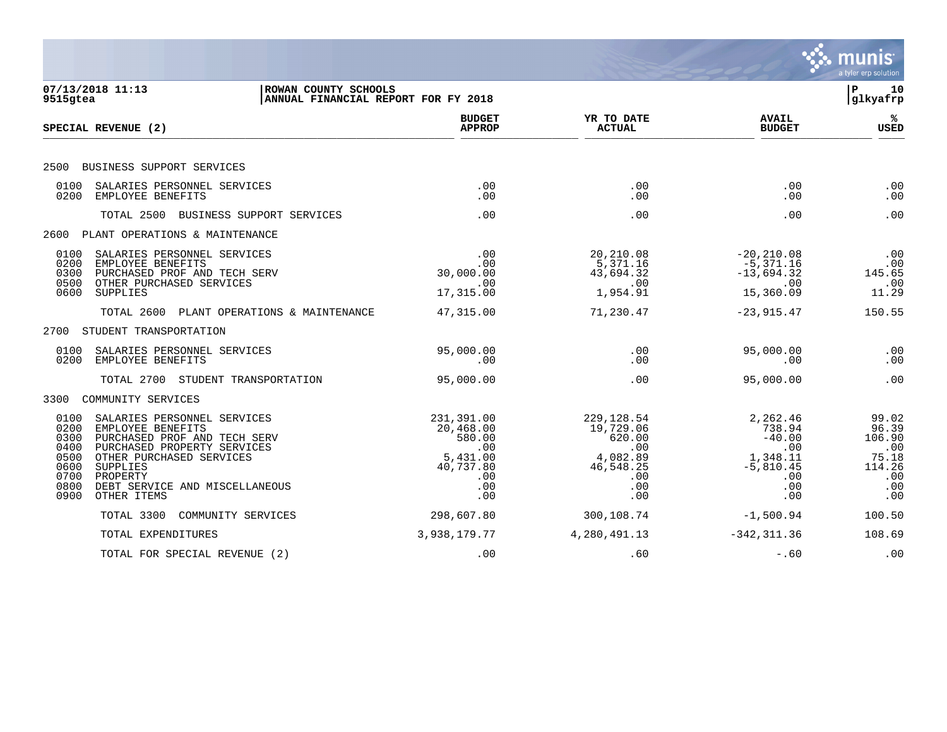|                                                                                                                                                                                                                                                                                              |                                                                                        |                                                                                         |                                                                                       | munis<br>a tyler erp solution                                           |
|----------------------------------------------------------------------------------------------------------------------------------------------------------------------------------------------------------------------------------------------------------------------------------------------|----------------------------------------------------------------------------------------|-----------------------------------------------------------------------------------------|---------------------------------------------------------------------------------------|-------------------------------------------------------------------------|
| 07/13/2018 11:13<br>ROWAN COUNTY SCHOOLS<br>ANNUAL FINANCIAL REPORT FOR FY 2018<br>9515gtea                                                                                                                                                                                                  |                                                                                        |                                                                                         |                                                                                       | ∣P<br>10<br>glkyafrp                                                    |
| SPECIAL REVENUE (2)                                                                                                                                                                                                                                                                          | <b>BUDGET</b><br><b>APPROP</b>                                                         | YR TO DATE<br><b>ACTUAL</b>                                                             | <b>AVAIL</b><br><b>BUDGET</b>                                                         | ℁<br><b>USED</b>                                                        |
| BUSINESS SUPPORT SERVICES<br>2500                                                                                                                                                                                                                                                            |                                                                                        |                                                                                         |                                                                                       |                                                                         |
| 0100<br>SALARIES PERSONNEL SERVICES<br>0200<br>EMPLOYEE BENEFITS                                                                                                                                                                                                                             | .00<br>.00                                                                             | .00<br>.00                                                                              | .00<br>.00                                                                            | .00<br>.00                                                              |
| TOTAL 2500<br>BUSINESS SUPPORT SERVICES                                                                                                                                                                                                                                                      | .00                                                                                    | .00                                                                                     | .00                                                                                   | .00                                                                     |
| PLANT OPERATIONS & MAINTENANCE<br>2600                                                                                                                                                                                                                                                       |                                                                                        |                                                                                         |                                                                                       |                                                                         |
| 0100<br>SALARIES PERSONNEL SERVICES<br>0200<br>EMPLOYEE BENEFITS<br>0300<br>PURCHASED PROF AND TECH SERV<br>0500<br>OTHER PURCHASED SERVICES<br>0600<br>SUPPLIES                                                                                                                             | .00<br>.00<br>30,000.00<br>.00<br>17,315.00                                            | 20,210.08<br>5,371.16<br>43,694.32<br>.00<br>1,954.91                                   | $-20, 210.08$<br>-5,371.16<br>$-13,694.32$<br>.00<br>15,360.09                        | .00<br>.00<br>145.65<br>.00<br>11.29                                    |
| TOTAL 2600 PLANT OPERATIONS & MAINTENANCE                                                                                                                                                                                                                                                    | 47,315.00                                                                              | 71,230.47                                                                               | $-23, 915.47$                                                                         | 150.55                                                                  |
| STUDENT TRANSPORTATION<br>2700                                                                                                                                                                                                                                                               |                                                                                        |                                                                                         |                                                                                       |                                                                         |
| 0100<br>SALARIES PERSONNEL SERVICES<br>0200<br>EMPLOYEE BENEFITS                                                                                                                                                                                                                             | 95,000.00<br>.00                                                                       | .00<br>.00                                                                              | 95,000.00<br>.00                                                                      | .00<br>.00                                                              |
| TOTAL 2700<br>STUDENT TRANSPORTATION                                                                                                                                                                                                                                                         | 95,000.00                                                                              | .00                                                                                     | 95,000.00                                                                             | .00                                                                     |
| COMMUNITY SERVICES<br>3300                                                                                                                                                                                                                                                                   |                                                                                        |                                                                                         |                                                                                       |                                                                         |
| 0100<br>SALARIES PERSONNEL SERVICES<br>0200<br>EMPLOYEE BENEFITS<br>0300<br>PURCHASED PROF AND TECH SERV<br>0400<br>PURCHASED PROPERTY SERVICES<br>0500<br>OTHER PURCHASED SERVICES<br>0600<br>SUPPLIES<br>0700<br>PROPERTY<br>0800<br>DEBT SERVICE AND MISCELLANEOUS<br>0900<br>OTHER ITEMS | 231,391.00<br>20,468.00<br>580.00<br>.00<br>5,431.00<br>40,737.80<br>.00<br>.00<br>.00 | 229, 128.54<br>19,729.06<br>620.00<br>.00<br>4,082.89<br>46,548.25<br>.00<br>.00<br>.00 | 2,262.46<br>738.94<br>$-40.00$<br>.00<br>1,348.11<br>$-5,810.45$<br>.00<br>.00<br>.00 | 99.02<br>96.39<br>106.90<br>.00<br>75.18<br>114.26<br>.00<br>.00<br>.00 |
| COMMUNITY SERVICES<br>TOTAL 3300                                                                                                                                                                                                                                                             | 298,607.80                                                                             | 300,108.74                                                                              | $-1,500.94$                                                                           | 100.50                                                                  |
| TOTAL EXPENDITURES                                                                                                                                                                                                                                                                           | 3,938,179.77                                                                           | 4,280,491.13                                                                            | $-342, 311.36$                                                                        | 108.69                                                                  |
| TOTAL FOR SPECIAL REVENUE (2)                                                                                                                                                                                                                                                                | .00                                                                                    | .60                                                                                     | $-.60$                                                                                | .00                                                                     |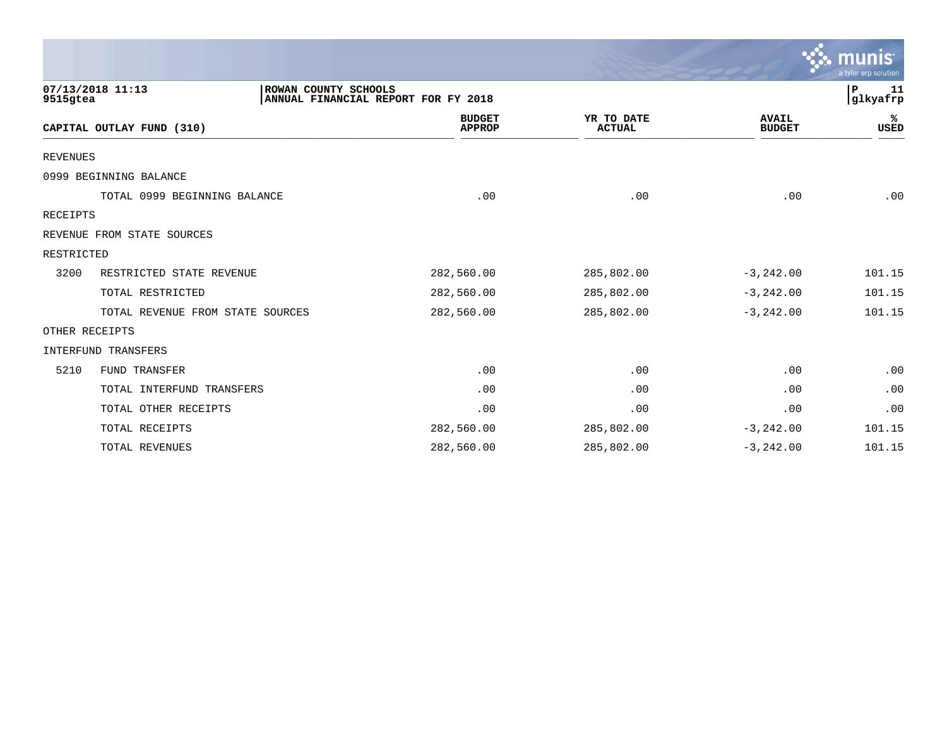|                 |                                          |                                     |                             |                               | munıs<br>a tyler erp solution |
|-----------------|------------------------------------------|-------------------------------------|-----------------------------|-------------------------------|-------------------------------|
| 9515gtea        | 07/13/2018 11:13<br>ROWAN COUNTY SCHOOLS | ANNUAL FINANCIAL REPORT FOR FY 2018 |                             |                               | ${\bf P}$<br>11<br>glkyafrp   |
|                 | CAPITAL OUTLAY FUND (310)                | <b>BUDGET</b><br><b>APPROP</b>      | YR TO DATE<br><b>ACTUAL</b> | <b>AVAIL</b><br><b>BUDGET</b> | %<br>USED                     |
| <b>REVENUES</b> |                                          |                                     |                             |                               |                               |
|                 | 0999 BEGINNING BALANCE                   |                                     |                             |                               |                               |
|                 | TOTAL 0999 BEGINNING BALANCE             | .00                                 | .00                         | .00                           | .00                           |
| RECEIPTS        |                                          |                                     |                             |                               |                               |
|                 | REVENUE FROM STATE SOURCES               |                                     |                             |                               |                               |
| RESTRICTED      |                                          |                                     |                             |                               |                               |
| 3200            | RESTRICTED STATE REVENUE                 | 282,560.00                          | 285,802.00                  | $-3, 242.00$                  | 101.15                        |
|                 | TOTAL RESTRICTED                         | 282,560.00                          | 285,802.00                  | $-3, 242.00$                  | 101.15                        |
|                 | TOTAL REVENUE FROM STATE SOURCES         | 282,560.00                          | 285,802.00                  | $-3, 242.00$                  | 101.15                        |
| OTHER RECEIPTS  |                                          |                                     |                             |                               |                               |
|                 | INTERFUND TRANSFERS                      |                                     |                             |                               |                               |
| 5210            | FUND TRANSFER                            | .00                                 | .00                         | .00                           | .00                           |
|                 | TOTAL INTERFUND TRANSFERS                | .00                                 | .00                         | .00                           | .00                           |
|                 | TOTAL OTHER RECEIPTS                     | .00                                 | .00                         | .00                           | .00                           |
|                 | TOTAL RECEIPTS                           | 282,560.00                          | 285,802.00                  | $-3, 242.00$                  | 101.15                        |
|                 | TOTAL REVENUES                           | 282,560.00                          | 285,802.00                  | $-3, 242.00$                  | 101.15                        |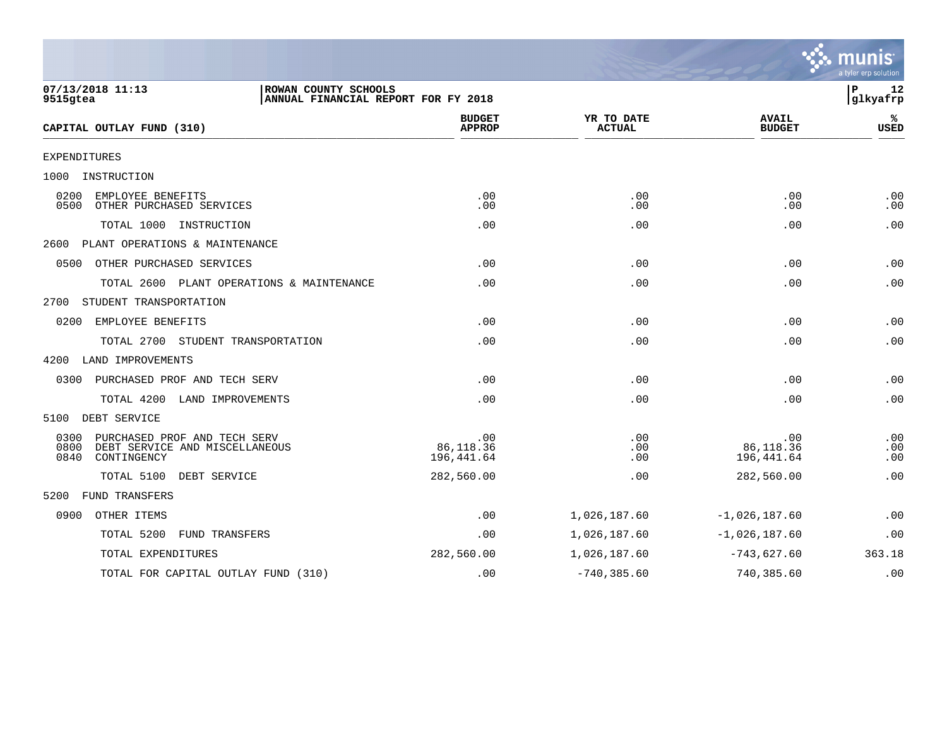|                                                                                                       |                                     |                             |                                | a tyler erp solution |
|-------------------------------------------------------------------------------------------------------|-------------------------------------|-----------------------------|--------------------------------|----------------------|
| 07/13/2018 11:13<br>ROWAN COUNTY SCHOOLS<br>9515gtea                                                  | ANNUAL FINANCIAL REPORT FOR FY 2018 |                             |                                | P<br>12<br>glkyafrp  |
| CAPITAL OUTLAY FUND (310)                                                                             | <b>BUDGET</b><br><b>APPROP</b>      | YR TO DATE<br><b>ACTUAL</b> | <b>AVAIL</b><br><b>BUDGET</b>  | ℁<br><b>USED</b>     |
| EXPENDITURES                                                                                          |                                     |                             |                                |                      |
| 1000<br>INSTRUCTION                                                                                   |                                     |                             |                                |                      |
| EMPLOYEE BENEFITS<br>0200<br>0500<br>OTHER PURCHASED SERVICES                                         | .00<br>.00                          | .00<br>.00                  | .00<br>.00                     | .00<br>.00           |
| TOTAL 1000 INSTRUCTION                                                                                | .00                                 | .00                         | .00                            | .00                  |
| 2600<br>PLANT OPERATIONS & MAINTENANCE                                                                |                                     |                             |                                |                      |
| 0500<br>OTHER PURCHASED SERVICES                                                                      | .00                                 | .00                         | .00                            | .00                  |
| TOTAL 2600 PLANT OPERATIONS & MAINTENANCE                                                             | .00                                 | .00                         | .00                            | .00                  |
| STUDENT TRANSPORTATION<br>2700                                                                        |                                     |                             |                                |                      |
| EMPLOYEE BENEFITS<br>0200                                                                             | .00                                 | .00                         | .00                            | .00                  |
| TOTAL 2700 STUDENT TRANSPORTATION                                                                     | .00                                 | .00                         | .00                            | .00                  |
| 4200<br>LAND IMPROVEMENTS                                                                             |                                     |                             |                                |                      |
| 0300<br>PURCHASED PROF AND TECH SERV                                                                  | .00                                 | .00                         | .00                            | .00                  |
| TOTAL 4200<br>LAND IMPROVEMENTS                                                                       | .00                                 | .00                         | .00                            | .00                  |
| 5100<br>DEBT SERVICE                                                                                  |                                     |                             |                                |                      |
| 0300<br>PURCHASED PROF AND TECH SERV<br>0800<br>DEBT SERVICE AND MISCELLANEOUS<br>0840<br>CONTINGENCY | .00<br>86,118.36<br>196,441.64      | .00<br>.00<br>.00           | .00<br>86,118.36<br>196,441.64 | .00<br>.00<br>.00    |
| TOTAL 5100<br>DEBT SERVICE                                                                            | 282,560.00                          | .00                         | 282,560.00                     | .00                  |
| <b>FUND TRANSFERS</b><br>5200                                                                         |                                     |                             |                                |                      |
| 0900<br>OTHER ITEMS                                                                                   | .00                                 | 1,026,187.60                | $-1,026,187.60$                | .00                  |
| TOTAL 5200<br>FUND TRANSFERS                                                                          | .00                                 | 1,026,187.60                | $-1,026,187.60$                | .00                  |
| TOTAL EXPENDITURES                                                                                    | 282,560.00                          | 1,026,187.60                | $-743,627.60$                  | 363.18               |
| TOTAL FOR CAPITAL OUTLAY FUND (310)                                                                   | .00                                 | $-740, 385.60$              | 740,385.60                     | .00                  |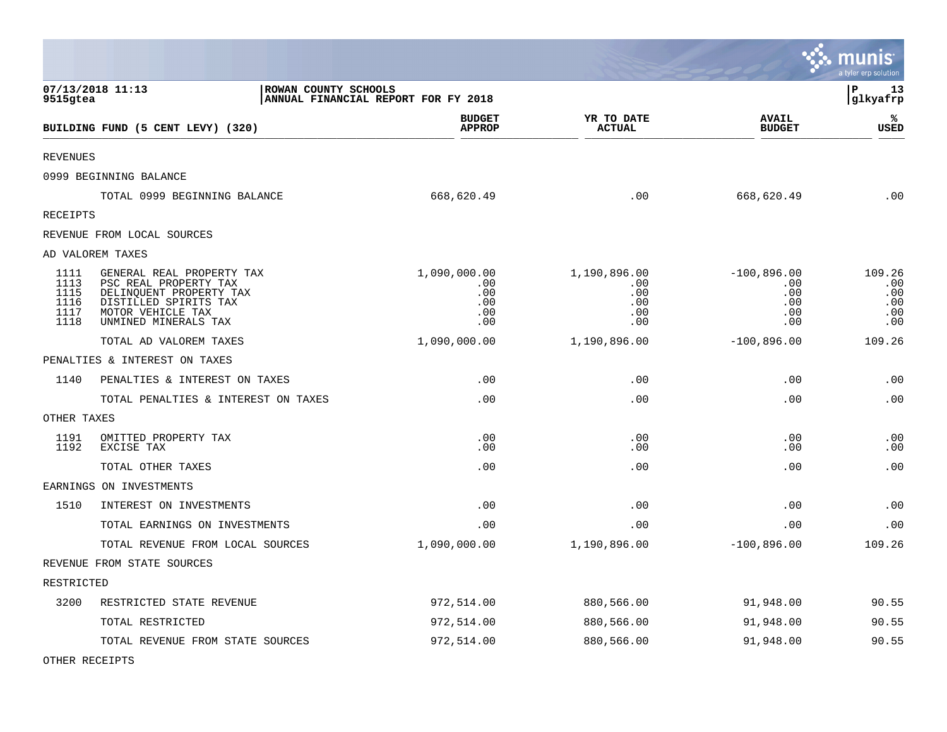|                                              |                                                                                                                                                     |                                                 |                                                 |                                                  | munis<br>a tyler erp solution             |
|----------------------------------------------|-----------------------------------------------------------------------------------------------------------------------------------------------------|-------------------------------------------------|-------------------------------------------------|--------------------------------------------------|-------------------------------------------|
| 9515gtea                                     | 07/13/2018 11:13<br>ROWAN COUNTY SCHOOLS                                                                                                            | ANNUAL FINANCIAL REPORT FOR FY 2018             |                                                 |                                                  | l P<br>13<br>glkyafrp                     |
|                                              | BUILDING FUND (5 CENT LEVY) (320)                                                                                                                   | <b>BUDGET</b><br><b>APPROP</b>                  | YR TO DATE<br><b>ACTUAL</b>                     | <b>AVAIL</b><br><b>BUDGET</b>                    | ℁<br><b>USED</b>                          |
| <b>REVENUES</b>                              |                                                                                                                                                     |                                                 |                                                 |                                                  |                                           |
|                                              | 0999 BEGINNING BALANCE                                                                                                                              |                                                 |                                                 |                                                  |                                           |
|                                              | TOTAL 0999 BEGINNING BALANCE                                                                                                                        | 668,620.49                                      | .00                                             | 668,620.49                                       | .00                                       |
| <b>RECEIPTS</b>                              |                                                                                                                                                     |                                                 |                                                 |                                                  |                                           |
|                                              | REVENUE FROM LOCAL SOURCES                                                                                                                          |                                                 |                                                 |                                                  |                                           |
|                                              | AD VALOREM TAXES                                                                                                                                    |                                                 |                                                 |                                                  |                                           |
| 1111<br>1113<br>1115<br>1116<br>1117<br>1118 | GENERAL REAL PROPERTY TAX<br>PSC REAL PROPERTY TAX<br>DELINQUENT PROPERTY TAX<br>DISTILLED SPIRITS TAX<br>MOTOR VEHICLE TAX<br>UNMINED MINERALS TAX | 1,090,000.00<br>.00<br>.00<br>.00<br>.00<br>.00 | 1,190,896.00<br>.00<br>.00<br>.00<br>.00<br>.00 | $-100,896.00$<br>.00<br>.00<br>.00<br>.00<br>.00 | 109.26<br>.00<br>.00<br>.00<br>.00<br>.00 |
|                                              | TOTAL AD VALOREM TAXES                                                                                                                              | 1,090,000.00                                    | 1,190,896.00                                    | $-100,896.00$                                    | 109.26                                    |
|                                              | PENALTIES & INTEREST ON TAXES                                                                                                                       |                                                 |                                                 |                                                  |                                           |
| 1140                                         | PENALTIES & INTEREST ON TAXES                                                                                                                       | .00                                             | .00                                             | .00                                              | .00                                       |
|                                              | TOTAL PENALTIES & INTEREST ON TAXES                                                                                                                 | .00                                             | .00                                             | .00                                              | .00                                       |
| OTHER TAXES                                  |                                                                                                                                                     |                                                 |                                                 |                                                  |                                           |
| 1191<br>1192                                 | OMITTED PROPERTY TAX<br>EXCISE TAX                                                                                                                  | .00<br>.00                                      | .00<br>.00                                      | .00<br>.00                                       | .00<br>.00                                |
|                                              | TOTAL OTHER TAXES                                                                                                                                   | .00                                             | .00                                             | .00                                              | .00                                       |
|                                              | EARNINGS ON INVESTMENTS                                                                                                                             |                                                 |                                                 |                                                  |                                           |
| 1510                                         | INTEREST ON INVESTMENTS                                                                                                                             | .00                                             | .00                                             | .00                                              | .00                                       |
|                                              | TOTAL EARNINGS ON INVESTMENTS                                                                                                                       | .00                                             | .00                                             | .00                                              | .00                                       |
|                                              | TOTAL REVENUE FROM LOCAL SOURCES                                                                                                                    | 1,090,000.00                                    | 1,190,896.00                                    | $-100,896.00$                                    | 109.26                                    |
|                                              | REVENUE FROM STATE SOURCES                                                                                                                          |                                                 |                                                 |                                                  |                                           |
| RESTRICTED                                   |                                                                                                                                                     |                                                 |                                                 |                                                  |                                           |
| 3200                                         | RESTRICTED STATE REVENUE                                                                                                                            | 972,514.00                                      | 880,566.00                                      | 91,948.00                                        | 90.55                                     |
|                                              | TOTAL RESTRICTED                                                                                                                                    | 972,514.00                                      | 880,566.00                                      | 91,948.00                                        | 90.55                                     |
|                                              | TOTAL REVENUE FROM STATE SOURCES                                                                                                                    | 972,514.00                                      | 880,566.00                                      | 91,948.00                                        | 90.55                                     |

OTHER RECEIPTS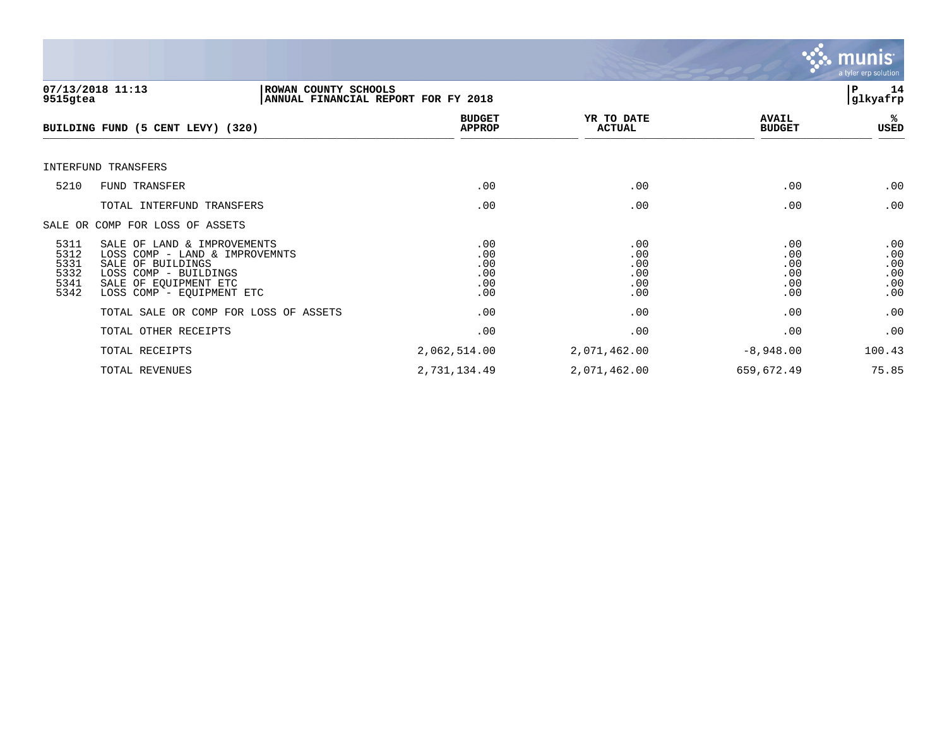

| 9515gtea                                     | 07/13/2018 11:13                                                                                                                                                  | ROWAN COUNTY SCHOOLS<br>ANNUAL FINANCIAL REPORT FOR FY 2018 |                                        |                                        | 14<br>ΙP<br>glkyafrp                   |
|----------------------------------------------|-------------------------------------------------------------------------------------------------------------------------------------------------------------------|-------------------------------------------------------------|----------------------------------------|----------------------------------------|----------------------------------------|
|                                              | BUILDING FUND (5 CENT LEVY) (320)                                                                                                                                 | <b>BUDGET</b><br><b>APPROP</b>                              | YR TO DATE<br><b>ACTUAL</b>            | <b>AVAIL</b><br><b>BUDGET</b>          | %ะ<br>USED                             |
|                                              | INTERFUND TRANSFERS                                                                                                                                               |                                                             |                                        |                                        |                                        |
| 5210                                         | FUND TRANSFER                                                                                                                                                     | .00                                                         | .00                                    | .00                                    | .00                                    |
|                                              | TOTAL INTERFUND TRANSFERS                                                                                                                                         | .00                                                         | .00                                    | .00                                    | .00                                    |
|                                              | SALE OR COMP FOR LOSS OF ASSETS                                                                                                                                   |                                                             |                                        |                                        |                                        |
| 5311<br>5312<br>5331<br>5332<br>5341<br>5342 | SALE OF LAND & IMPROVEMENTS<br>LOSS COMP - LAND & IMPROVEMNTS<br>SALE OF BUILDINGS<br>LOSS COMP - BUILDINGS<br>SALE OF EQUIPMENT ETC<br>LOSS COMP - EQUIPMENT ETC | .00<br>.00<br>.00<br>.00<br>.00<br>.00                      | .00<br>.00<br>.00<br>.00<br>.00<br>.00 | .00<br>.00<br>.00<br>.00<br>.00<br>.00 | .00<br>.00<br>.00<br>.00<br>.00<br>.00 |
|                                              | TOTAL SALE OR COMP FOR LOSS OF ASSETS                                                                                                                             | .00                                                         | .00                                    | .00                                    | .00                                    |
|                                              | TOTAL OTHER RECEIPTS                                                                                                                                              | .00                                                         | .00                                    | .00                                    | .00                                    |
|                                              | TOTAL RECEIPTS                                                                                                                                                    | 2,062,514.00                                                | 2,071,462.00                           | $-8,948.00$                            | 100.43                                 |
|                                              | TOTAL REVENUES                                                                                                                                                    | 2,731,134.49                                                | 2,071,462.00                           | 659,672.49                             | 75.85                                  |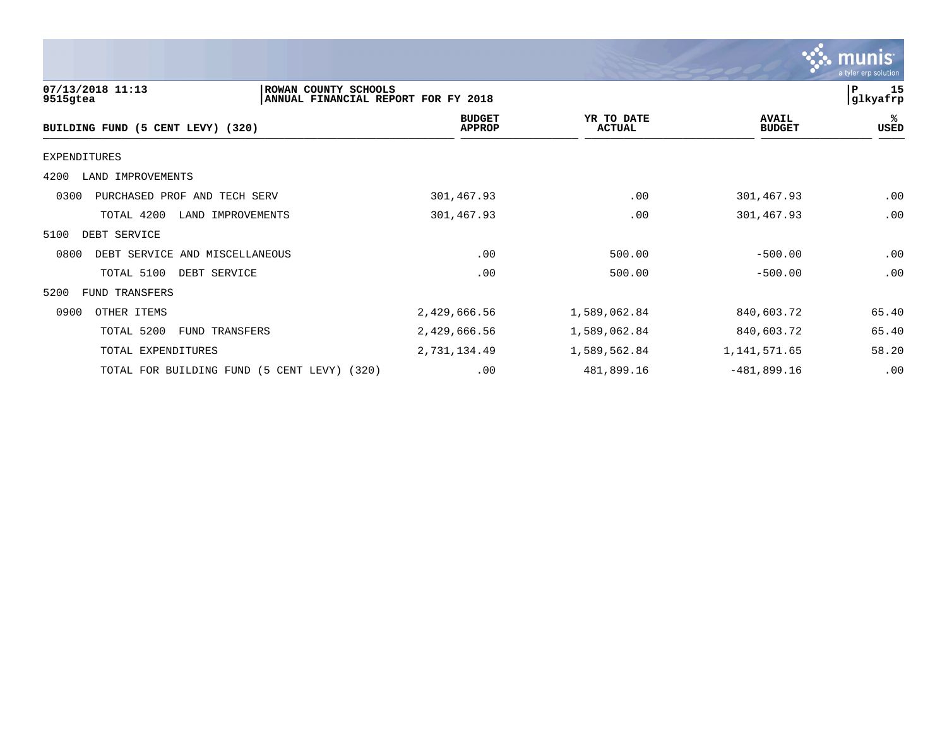| <b>: munis</b>       |
|----------------------|
| a tyler erp solution |

| 07/13/2018 11:13<br>ROWAN COUNTY SCHOOLS<br>9515gtea | ANNUAL FINANCIAL REPORT FOR FY 2018 |                             |                               | 15<br>P<br>glkyafrp |
|------------------------------------------------------|-------------------------------------|-----------------------------|-------------------------------|---------------------|
| BUILDING FUND (5 CENT LEVY) (320)                    | <b>BUDGET</b><br><b>APPROP</b>      | YR TO DATE<br><b>ACTUAL</b> | <b>AVAIL</b><br><b>BUDGET</b> | ℁<br>USED           |
| EXPENDITURES                                         |                                     |                             |                               |                     |
| 4200<br>LAND IMPROVEMENTS                            |                                     |                             |                               |                     |
| 0300<br>PURCHASED PROF AND TECH SERV                 | 301,467.93                          | .00                         | 301,467.93                    | .00                 |
| TOTAL 4200<br>LAND IMPROVEMENTS                      | 301,467.93                          | .00                         | 301,467.93                    | .00                 |
| 5100<br>DEBT SERVICE                                 |                                     |                             |                               |                     |
| 0800<br>DEBT SERVICE AND MISCELLANEOUS               | .00                                 | 500.00                      | $-500.00$                     | .00                 |
| TOTAL 5100<br>DEBT SERVICE                           | .00                                 | 500.00                      | $-500.00$                     | .00                 |
| 5200<br>FUND TRANSFERS                               |                                     |                             |                               |                     |
| 0900<br>OTHER ITEMS                                  | 2,429,666.56                        | 1,589,062.84                | 840,603.72                    | 65.40               |
| TOTAL 5200<br>FUND TRANSFERS                         | 2,429,666.56                        | 1,589,062.84                | 840,603.72                    | 65.40               |
| TOTAL EXPENDITURES                                   | 2,731,134.49                        | 1,589,562.84                | 1, 141, 571.65                | 58.20               |
| TOTAL FOR BUILDING FUND<br>(5 CENT LEVY) (320)       | .00                                 | 481,899.16                  | $-481,899.16$                 | .00                 |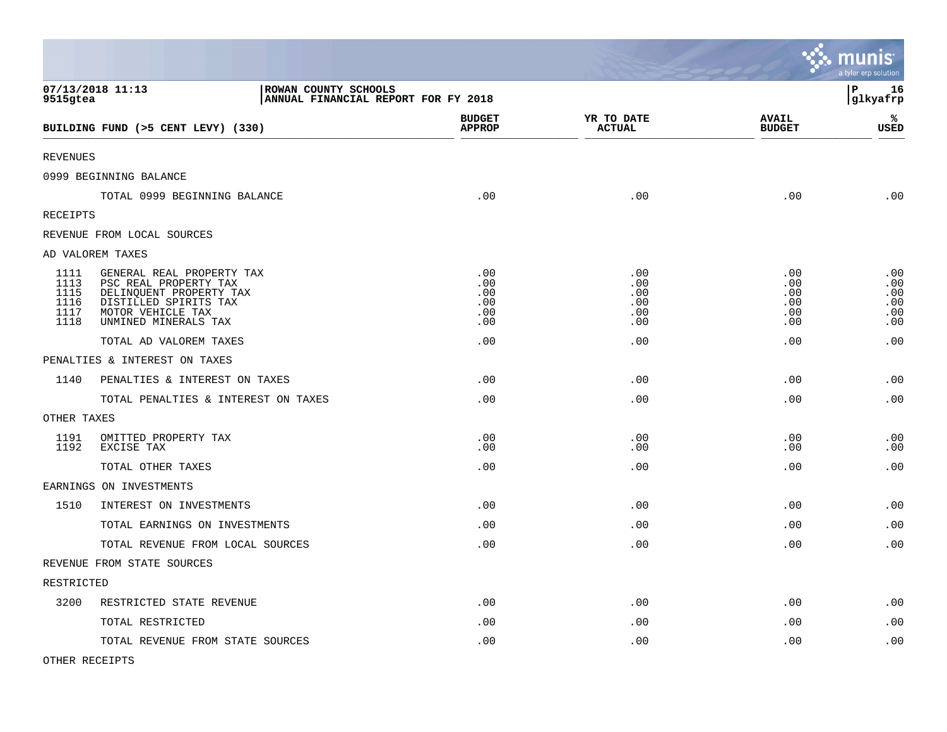|                                              |                                                                                                                                                     |                                        |                                        |                                        | mul<br>nıs<br>a tyler erp solution     |
|----------------------------------------------|-----------------------------------------------------------------------------------------------------------------------------------------------------|----------------------------------------|----------------------------------------|----------------------------------------|----------------------------------------|
| 9515gtea                                     | 07/13/2018 11:13<br>ROWAN COUNTY SCHOOLS<br>ANNUAL FINANCIAL REPORT FOR FY 2018                                                                     |                                        |                                        |                                        | l P<br>16<br>glkyafrp                  |
|                                              | BUILDING FUND (>5 CENT LEVY) (330)                                                                                                                  | <b>BUDGET</b><br><b>APPROP</b>         | YR TO DATE<br><b>ACTUAL</b>            | <b>AVAIL</b><br><b>BUDGET</b>          | %<br><b>USED</b>                       |
| <b>REVENUES</b>                              |                                                                                                                                                     |                                        |                                        |                                        |                                        |
|                                              | 0999 BEGINNING BALANCE                                                                                                                              |                                        |                                        |                                        |                                        |
|                                              | TOTAL 0999 BEGINNING BALANCE                                                                                                                        | .00                                    | .00                                    | .00                                    | .00                                    |
| RECEIPTS                                     |                                                                                                                                                     |                                        |                                        |                                        |                                        |
|                                              | REVENUE FROM LOCAL SOURCES                                                                                                                          |                                        |                                        |                                        |                                        |
|                                              | AD VALOREM TAXES                                                                                                                                    |                                        |                                        |                                        |                                        |
| 1111<br>1113<br>1115<br>1116<br>1117<br>1118 | GENERAL REAL PROPERTY TAX<br>PSC REAL PROPERTY TAX<br>DELINQUENT PROPERTY TAX<br>DISTILLED SPIRITS TAX<br>MOTOR VEHICLE TAX<br>UNMINED MINERALS TAX | .00<br>.00<br>.00<br>.00<br>.00<br>.00 | .00<br>.00<br>.00<br>.00<br>.00<br>.00 | .00<br>.00<br>.00<br>.00<br>.00<br>.00 | .00<br>.00<br>.00<br>.00<br>.00<br>.00 |
|                                              | TOTAL AD VALOREM TAXES                                                                                                                              | .00                                    | .00                                    | .00                                    | .00                                    |
|                                              | PENALTIES & INTEREST ON TAXES                                                                                                                       |                                        |                                        |                                        |                                        |
| 1140                                         | PENALTIES & INTEREST ON TAXES                                                                                                                       | .00                                    | .00                                    | .00                                    | .00                                    |
|                                              | TOTAL PENALTIES & INTEREST ON TAXES                                                                                                                 | .00                                    | .00                                    | .00                                    | .00                                    |
| OTHER TAXES                                  |                                                                                                                                                     |                                        |                                        |                                        |                                        |
| 1191<br>1192                                 | OMITTED PROPERTY TAX<br>EXCISE TAX                                                                                                                  | .00<br>.00                             | .00<br>.00                             | .00<br>.00                             | .00<br>.00                             |
|                                              | TOTAL OTHER TAXES                                                                                                                                   | .00                                    | .00                                    | .00                                    | .00                                    |
|                                              | EARNINGS ON INVESTMENTS                                                                                                                             |                                        |                                        |                                        |                                        |
| 1510                                         | INTEREST ON INVESTMENTS                                                                                                                             | .00                                    | .00                                    | .00                                    | .00                                    |
|                                              | TOTAL EARNINGS ON INVESTMENTS                                                                                                                       | .00                                    | .00                                    | .00                                    | .00                                    |
|                                              | TOTAL REVENUE FROM LOCAL SOURCES                                                                                                                    | .00                                    | .00                                    | .00                                    | .00                                    |
|                                              | REVENUE FROM STATE SOURCES                                                                                                                          |                                        |                                        |                                        |                                        |
| RESTRICTED                                   |                                                                                                                                                     |                                        |                                        |                                        |                                        |
| 3200                                         | RESTRICTED STATE REVENUE                                                                                                                            | .00                                    | .00                                    | .00                                    | .00                                    |
|                                              | TOTAL RESTRICTED                                                                                                                                    | .00                                    | .00                                    | .00                                    | .00                                    |
|                                              | TOTAL REVENUE FROM STATE SOURCES                                                                                                                    | .00                                    | .00                                    | .00                                    | .00                                    |

 $\bullet$ 

OTHER RECEIPTS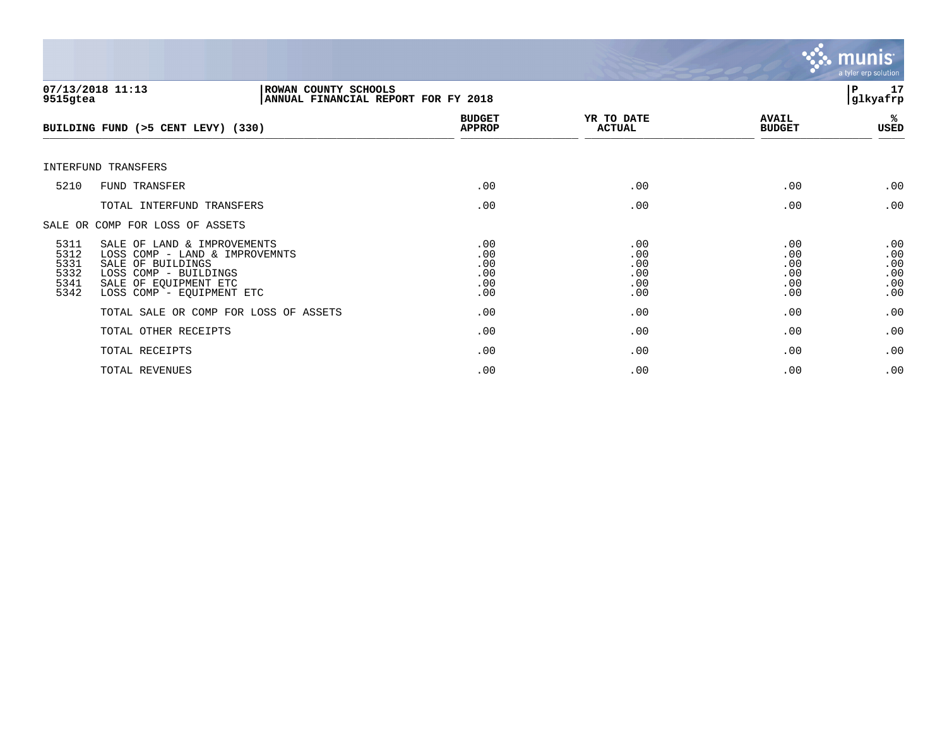

| 9515gtea                                     | 07/13/2018 11:13<br>ROWAN COUNTY SCHOOLS<br>ANNUAL FINANCIAL REPORT FOR FY 2018                                                                                   |                                        |                                        |                                        | 17<br>P<br>glkyafrp                    |
|----------------------------------------------|-------------------------------------------------------------------------------------------------------------------------------------------------------------------|----------------------------------------|----------------------------------------|----------------------------------------|----------------------------------------|
|                                              | BUILDING FUND (>5 CENT LEVY) (330)                                                                                                                                | <b>BUDGET</b><br><b>APPROP</b>         | YR TO DATE<br><b>ACTUAL</b>            | <b>AVAIL</b><br><b>BUDGET</b>          | %ะ<br>USED                             |
|                                              | INTERFUND TRANSFERS                                                                                                                                               |                                        |                                        |                                        |                                        |
| 5210                                         | <b>FUND TRANSFER</b>                                                                                                                                              | .00                                    | .00                                    | .00                                    | .00                                    |
|                                              | TOTAL INTERFUND TRANSFERS                                                                                                                                         | .00                                    | .00                                    | .00                                    | .00                                    |
|                                              | SALE OR COMP FOR LOSS OF ASSETS                                                                                                                                   |                                        |                                        |                                        |                                        |
| 5311<br>5312<br>5331<br>5332<br>5341<br>5342 | SALE OF LAND & IMPROVEMENTS<br>LOSS COMP - LAND & IMPROVEMNTS<br>SALE OF BUILDINGS<br>LOSS COMP - BUILDINGS<br>SALE OF EQUIPMENT ETC<br>LOSS COMP - EQUIPMENT ETC | .00<br>.00<br>.00<br>.00<br>.00<br>.00 | .00<br>.00<br>.00<br>.00<br>.00<br>.00 | .00<br>.00<br>.00<br>.00<br>.00<br>.00 | .00<br>.00<br>.00<br>.00<br>.00<br>.00 |
|                                              | TOTAL SALE OR COMP FOR LOSS OF ASSETS                                                                                                                             | .00                                    | .00                                    | .00                                    | .00                                    |
|                                              | TOTAL OTHER RECEIPTS                                                                                                                                              | .00                                    | .00                                    | .00                                    | .00                                    |
|                                              | TOTAL RECEIPTS                                                                                                                                                    | .00                                    | .00                                    | .00                                    | .00                                    |
|                                              | TOTAL REVENUES                                                                                                                                                    | .00                                    | .00                                    | .00                                    | .00                                    |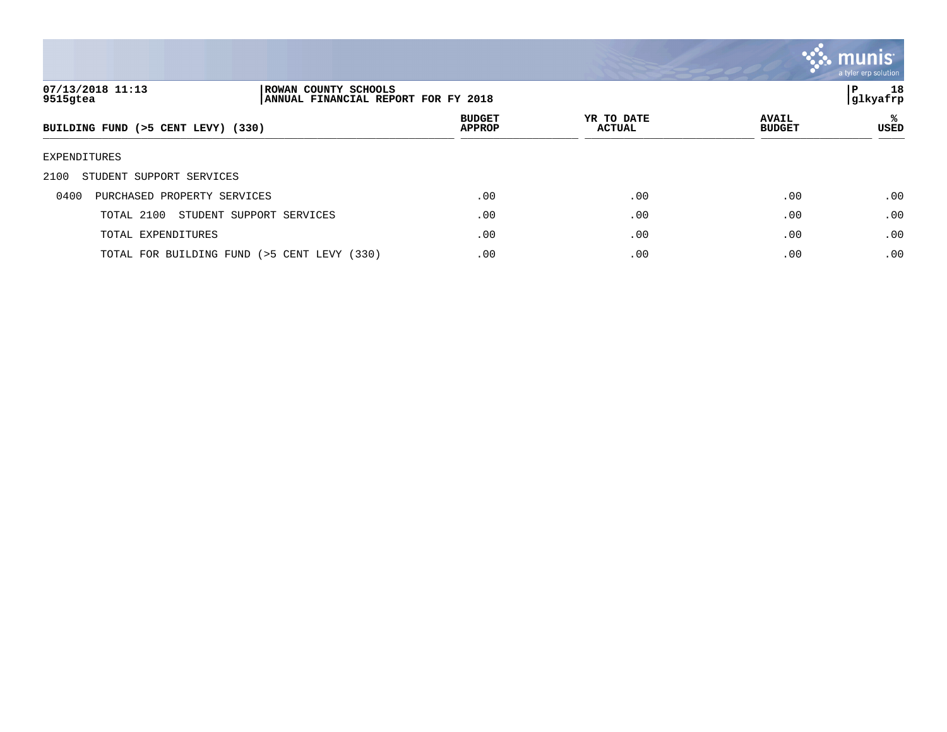

| 07/13/2018 11:13<br>9515gtea        | ROWAN COUNTY SCHOOLS<br>ANNUAL FINANCIAL REPORT FOR FY 2018 |                                |                             |                               | 18<br>P<br> glkyafrp |
|-------------------------------------|-------------------------------------------------------------|--------------------------------|-----------------------------|-------------------------------|----------------------|
| BUILDING FUND (>5 CENT LEVY) (330)  |                                                             | <b>BUDGET</b><br><b>APPROP</b> | YR TO DATE<br><b>ACTUAL</b> | <b>AVAIL</b><br><b>BUDGET</b> | %≽<br><b>USED</b>    |
| EXPENDITURES                        |                                                             |                                |                             |                               |                      |
| STUDENT SUPPORT SERVICES<br>2100    |                                                             |                                |                             |                               |                      |
| PURCHASED PROPERTY SERVICES<br>0400 |                                                             | .00                            | .00                         | .00                           | .00                  |
| TOTAL 2100                          | STUDENT SUPPORT SERVICES                                    | .00                            | .00                         | .00                           | .00                  |
| TOTAL EXPENDITURES                  |                                                             | .00                            | .00                         | .00                           | .00                  |
|                                     | TOTAL FOR BUILDING FUND (>5 CENT LEVY (330)                 | .00                            | .00                         | .00                           | .00                  |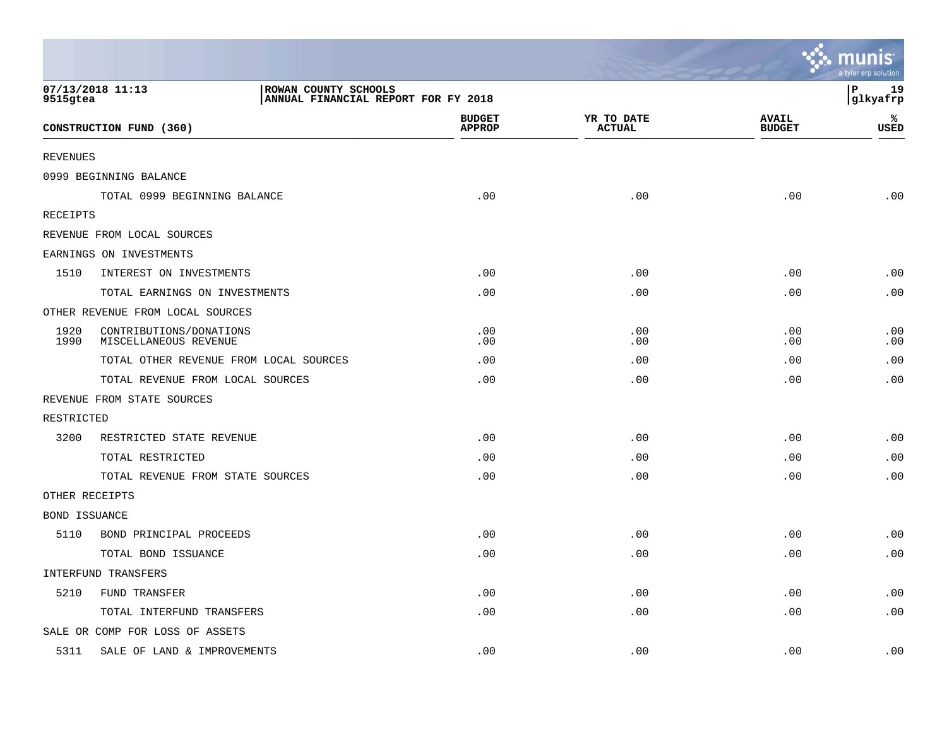|                                                                                             |                                                  |                                |                             |                               | <mark>ः munis</mark><br>a tyler erp solution |
|---------------------------------------------------------------------------------------------|--------------------------------------------------|--------------------------------|-----------------------------|-------------------------------|----------------------------------------------|
| 07/13/2018 11:13<br>ROWAN COUNTY SCHOOLS<br>9515gtea<br>ANNUAL FINANCIAL REPORT FOR FY 2018 |                                                  |                                |                             |                               | lР<br>19<br>glkyafrp                         |
|                                                                                             | CONSTRUCTION FUND (360)                          | <b>BUDGET</b><br><b>APPROP</b> | YR TO DATE<br><b>ACTUAL</b> | <b>AVAIL</b><br><b>BUDGET</b> | ℁<br><b>USED</b>                             |
| <b>REVENUES</b>                                                                             |                                                  |                                |                             |                               |                                              |
|                                                                                             | 0999 BEGINNING BALANCE                           |                                |                             |                               |                                              |
|                                                                                             | TOTAL 0999 BEGINNING BALANCE                     | .00                            | .00                         | .00                           | .00                                          |
| RECEIPTS                                                                                    |                                                  |                                |                             |                               |                                              |
|                                                                                             | REVENUE FROM LOCAL SOURCES                       |                                |                             |                               |                                              |
|                                                                                             | EARNINGS ON INVESTMENTS                          |                                |                             |                               |                                              |
| 1510                                                                                        | INTEREST ON INVESTMENTS                          | .00                            | .00                         | .00                           | .00                                          |
|                                                                                             | TOTAL EARNINGS ON INVESTMENTS                    | .00                            | .00                         | .00                           | .00                                          |
|                                                                                             | OTHER REVENUE FROM LOCAL SOURCES                 |                                |                             |                               |                                              |
| 1920<br>1990                                                                                | CONTRIBUTIONS/DONATIONS<br>MISCELLANEOUS REVENUE | .00<br>.00                     | .00<br>.00                  | .00<br>.00                    | .00<br>.00                                   |
|                                                                                             | TOTAL OTHER REVENUE FROM LOCAL SOURCES           | .00                            | .00                         | .00                           | .00                                          |
|                                                                                             | TOTAL REVENUE FROM LOCAL SOURCES                 | .00                            | .00                         | .00                           | .00                                          |
|                                                                                             | REVENUE FROM STATE SOURCES                       |                                |                             |                               |                                              |
| RESTRICTED                                                                                  |                                                  |                                |                             |                               |                                              |
| 3200                                                                                        | RESTRICTED STATE REVENUE                         | .00                            | .00                         | .00                           | .00                                          |
|                                                                                             | TOTAL RESTRICTED                                 | .00                            | .00                         | .00                           | .00                                          |
|                                                                                             | TOTAL REVENUE FROM STATE SOURCES                 | .00                            | .00                         | .00                           | .00                                          |
| OTHER RECEIPTS                                                                              |                                                  |                                |                             |                               |                                              |
| <b>BOND ISSUANCE</b>                                                                        |                                                  |                                |                             |                               |                                              |
| 5110                                                                                        | BOND PRINCIPAL PROCEEDS                          | .00                            | .00                         | .00                           | .00                                          |
|                                                                                             | TOTAL BOND ISSUANCE                              | .00                            | .00                         | .00                           | .00                                          |
|                                                                                             | INTERFUND TRANSFERS                              |                                |                             |                               |                                              |
| 5210                                                                                        | FUND TRANSFER                                    | .00                            | .00                         | .00                           | .00                                          |
|                                                                                             | TOTAL INTERFUND TRANSFERS                        | .00                            | .00                         | .00                           | .00                                          |
|                                                                                             | SALE OR COMP FOR LOSS OF ASSETS                  |                                |                             |                               |                                              |
| 5311                                                                                        | SALE OF LAND & IMPROVEMENTS                      | .00                            | .00                         | .00                           | .00                                          |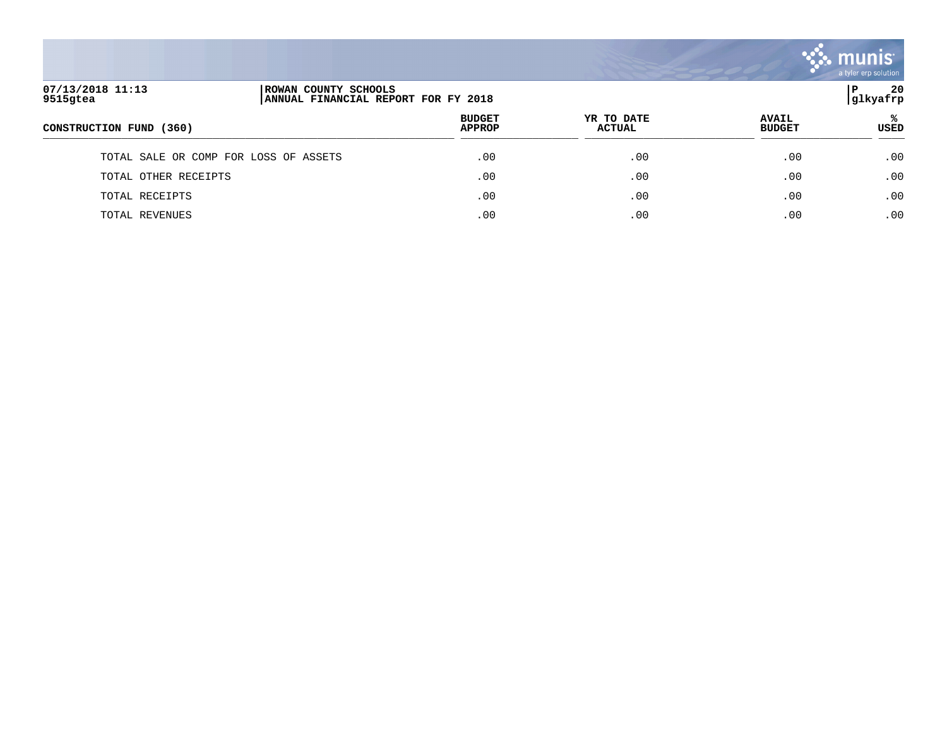

| 07/13/2018 11:13<br>ROWAN COUNTY SCHOOLS<br>9515gtea<br>ANNUAL FINANCIAL REPORT FOR FY 2018 |  |                                | P<br>glkyafrp               |                               |                  |  |
|---------------------------------------------------------------------------------------------|--|--------------------------------|-----------------------------|-------------------------------|------------------|--|
| CONSTRUCTION FUND (360)                                                                     |  | <b>BUDGET</b><br><b>APPROP</b> | YR TO DATE<br><b>ACTUAL</b> | <b>AVAIL</b><br><b>BUDGET</b> | ℁<br><b>USED</b> |  |
| TOTAL SALE OR COMP FOR LOSS OF ASSETS                                                       |  | .00                            | .00                         | .00                           | .00              |  |
| TOTAL OTHER RECEIPTS                                                                        |  | .00                            | .00                         | .00                           | .00              |  |
| TOTAL RECEIPTS                                                                              |  | .00                            | .00                         | .00                           | .00              |  |
| TOTAL REVENUES                                                                              |  | .00                            | .00                         | .00                           | .00              |  |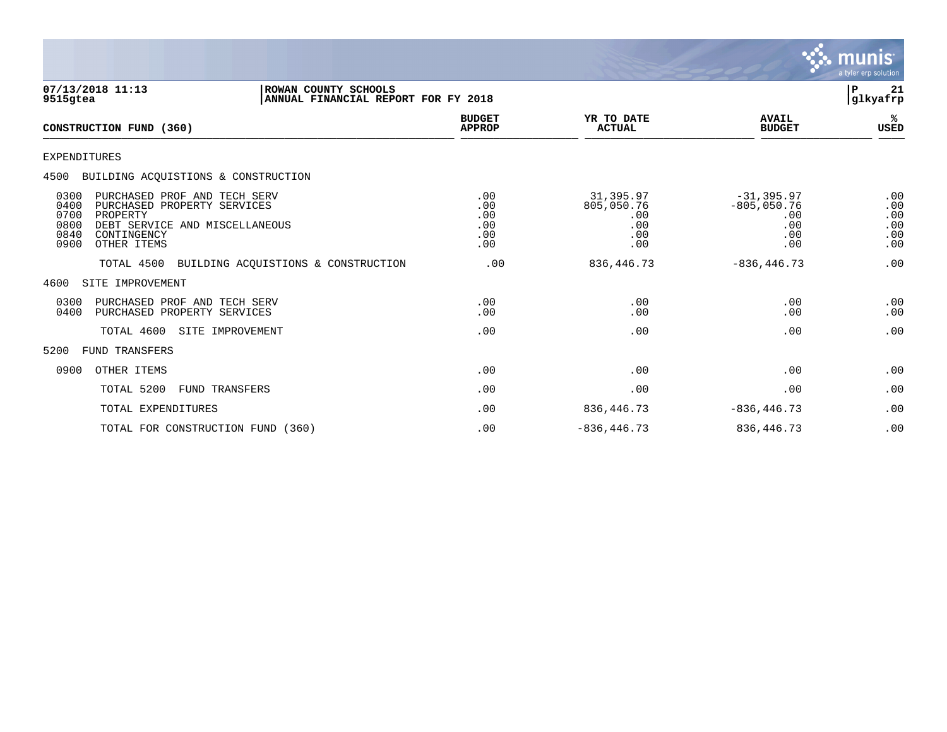

| 07/13/2018 11:13<br>9515gtea                                                                                                                                                            | ROWAN COUNTY SCHOOLS<br>ANNUAL FINANCIAL REPORT FOR FY 2018 |                                        |                                                     |                                                            | P<br>21<br>glkyafrp                    |
|-----------------------------------------------------------------------------------------------------------------------------------------------------------------------------------------|-------------------------------------------------------------|----------------------------------------|-----------------------------------------------------|------------------------------------------------------------|----------------------------------------|
| CONSTRUCTION FUND (360)                                                                                                                                                                 |                                                             | <b>BUDGET</b><br><b>APPROP</b>         | YR TO DATE<br><b>ACTUAL</b>                         | <b>AVAIL</b><br><b>BUDGET</b>                              | ℁<br><b>USED</b>                       |
| <b>EXPENDITURES</b>                                                                                                                                                                     |                                                             |                                        |                                                     |                                                            |                                        |
| 4500 BUILDING ACOUISTIONS & CONSTRUCTION                                                                                                                                                |                                                             |                                        |                                                     |                                                            |                                        |
| 0300<br>PURCHASED PROF AND TECH SERV<br>0400<br>PURCHASED PROPERTY SERVICES<br>0700<br>PROPERTY<br>0800<br>DEBT SERVICE AND MISCELLANEOUS<br>0840<br>CONTINGENCY<br>0900<br>OTHER ITEMS |                                                             | .00<br>.00<br>.00<br>.00<br>.00<br>.00 | 31,395.97<br>805,050.76<br>.00<br>.00<br>.00<br>.00 | $-31, 395.97$<br>$-805,050.76$<br>.00<br>.00<br>.00<br>.00 | .00<br>.00<br>.00<br>.00<br>.00<br>.00 |
| TOTAL 4500                                                                                                                                                                              | BUILDING ACQUISTIONS & CONSTRUCTION                         | .00                                    | 836, 446. 73                                        | $-836, 446.73$                                             | .00                                    |
| SITE IMPROVEMENT<br>4600                                                                                                                                                                |                                                             |                                        |                                                     |                                                            |                                        |
| 0300<br>PURCHASED PROF AND TECH SERV<br>0400<br>PURCHASED PROPERTY SERVICES                                                                                                             |                                                             | .00<br>.00                             | .00<br>.00                                          | .00<br>.00                                                 | .00<br>.00                             |
| TOTAL 4600<br>SITE IMPROVEMENT                                                                                                                                                          |                                                             | .00                                    | .00                                                 | .00                                                        | .00                                    |
| 5200<br>FUND TRANSFERS                                                                                                                                                                  |                                                             |                                        |                                                     |                                                            |                                        |
| 0900<br>OTHER ITEMS                                                                                                                                                                     |                                                             | .00                                    | .00                                                 | .00                                                        | .00                                    |
| TOTAL 5200<br>FUND TRANSFERS                                                                                                                                                            |                                                             | .00                                    | .00                                                 | .00                                                        | .00                                    |
| TOTAL EXPENDITURES                                                                                                                                                                      |                                                             | .00                                    | 836,446.73                                          | $-836, 446.73$                                             | .00                                    |
| TOTAL FOR CONSTRUCTION FUND (360)                                                                                                                                                       |                                                             | .00                                    | $-836, 446.73$                                      | 836,446.73                                                 | .00                                    |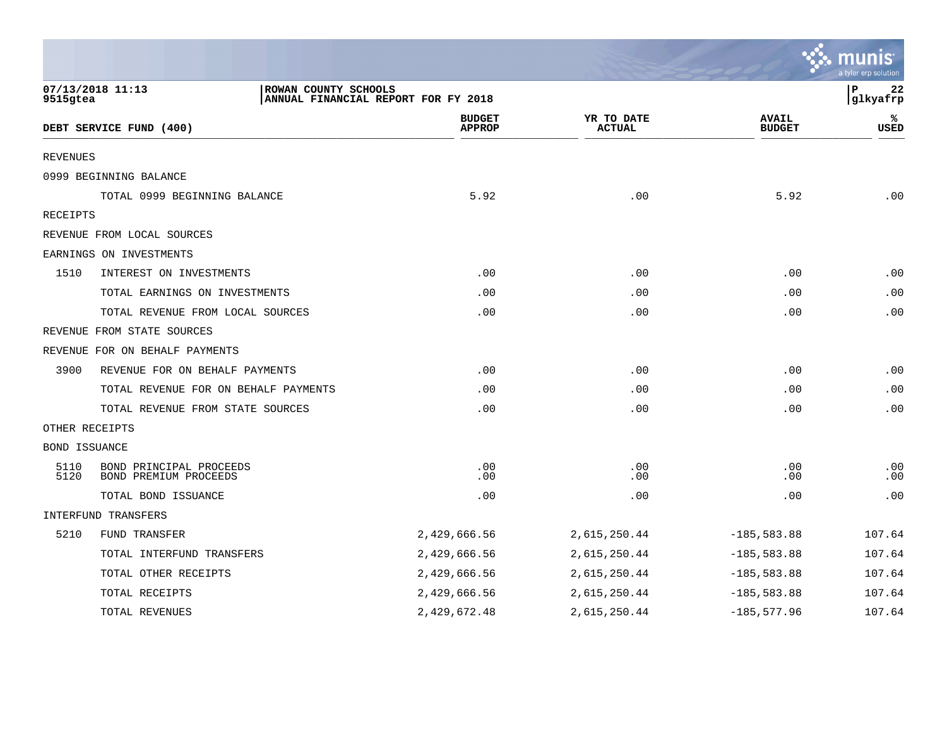|                |                                                                                                                                |                                |                             |                               | <b>W. munis</b><br>a tyler erp solution |  |
|----------------|--------------------------------------------------------------------------------------------------------------------------------|--------------------------------|-----------------------------|-------------------------------|-----------------------------------------|--|
|                | 07/13/2018 11:13<br>$\, {\bf P}$<br>22<br>ROWAN COUNTY SCHOOLS<br>ANNUAL FINANCIAL REPORT FOR FY 2018<br> glkyafrp<br>9515gtea |                                |                             |                               |                                         |  |
|                | DEBT SERVICE FUND (400)                                                                                                        | <b>BUDGET</b><br><b>APPROP</b> | YR TO DATE<br><b>ACTUAL</b> | <b>AVAIL</b><br><b>BUDGET</b> | ℁<br>USED                               |  |
| REVENUES       |                                                                                                                                |                                |                             |                               |                                         |  |
|                | 0999 BEGINNING BALANCE                                                                                                         |                                |                             |                               |                                         |  |
|                | TOTAL 0999 BEGINNING BALANCE                                                                                                   | 5.92                           | .00                         | 5.92                          | .00                                     |  |
| RECEIPTS       |                                                                                                                                |                                |                             |                               |                                         |  |
|                | REVENUE FROM LOCAL SOURCES                                                                                                     |                                |                             |                               |                                         |  |
|                | EARNINGS ON INVESTMENTS                                                                                                        |                                |                             |                               |                                         |  |
| 1510           | INTEREST ON INVESTMENTS                                                                                                        | .00                            | .00                         | .00                           | .00                                     |  |
|                | TOTAL EARNINGS ON INVESTMENTS                                                                                                  | .00                            | .00                         | .00                           | .00                                     |  |
|                | TOTAL REVENUE FROM LOCAL SOURCES                                                                                               | .00                            | .00                         | .00                           | .00                                     |  |
|                | REVENUE FROM STATE SOURCES                                                                                                     |                                |                             |                               |                                         |  |
|                | REVENUE FOR ON BEHALF PAYMENTS                                                                                                 |                                |                             |                               |                                         |  |
| 3900           | REVENUE FOR ON BEHALF PAYMENTS                                                                                                 | .00                            | .00                         | .00                           | .00                                     |  |
|                | TOTAL REVENUE FOR ON BEHALF PAYMENTS                                                                                           | .00                            | .00                         | .00                           | .00                                     |  |
|                | TOTAL REVENUE FROM STATE SOURCES                                                                                               | .00                            | .00                         | .00                           | .00                                     |  |
| OTHER RECEIPTS |                                                                                                                                |                                |                             |                               |                                         |  |
| BOND ISSUANCE  |                                                                                                                                |                                |                             |                               |                                         |  |
| 5110<br>5120   | BOND PRINCIPAL PROCEEDS<br>BOND PREMIUM PROCEEDS                                                                               | .00<br>.00                     | .00<br>.00                  | .00<br>.00                    | .00<br>.00                              |  |
|                | TOTAL BOND ISSUANCE                                                                                                            | .00                            | .00                         | .00                           | .00                                     |  |
|                | INTERFUND TRANSFERS                                                                                                            |                                |                             |                               |                                         |  |
| 5210           | FUND TRANSFER                                                                                                                  | 2,429,666.56                   | 2,615,250.44                | $-185,583.88$                 | 107.64                                  |  |
|                | TOTAL INTERFUND TRANSFERS                                                                                                      | 2,429,666.56                   | 2,615,250.44                | $-185,583.88$                 | 107.64                                  |  |
|                | TOTAL OTHER RECEIPTS                                                                                                           | 2,429,666.56                   | 2,615,250.44                | $-185,583.88$                 | 107.64                                  |  |
|                | TOTAL RECEIPTS                                                                                                                 | 2,429,666.56                   | 2,615,250.44                | $-185, 583.88$                | 107.64                                  |  |
|                | TOTAL REVENUES                                                                                                                 | 2,429,672.48                   | 2,615,250.44                | $-185, 577.96$                | 107.64                                  |  |

 $\sim$   $\sim$   $\sim$   $\sim$   $\sim$   $\sim$   $\sim$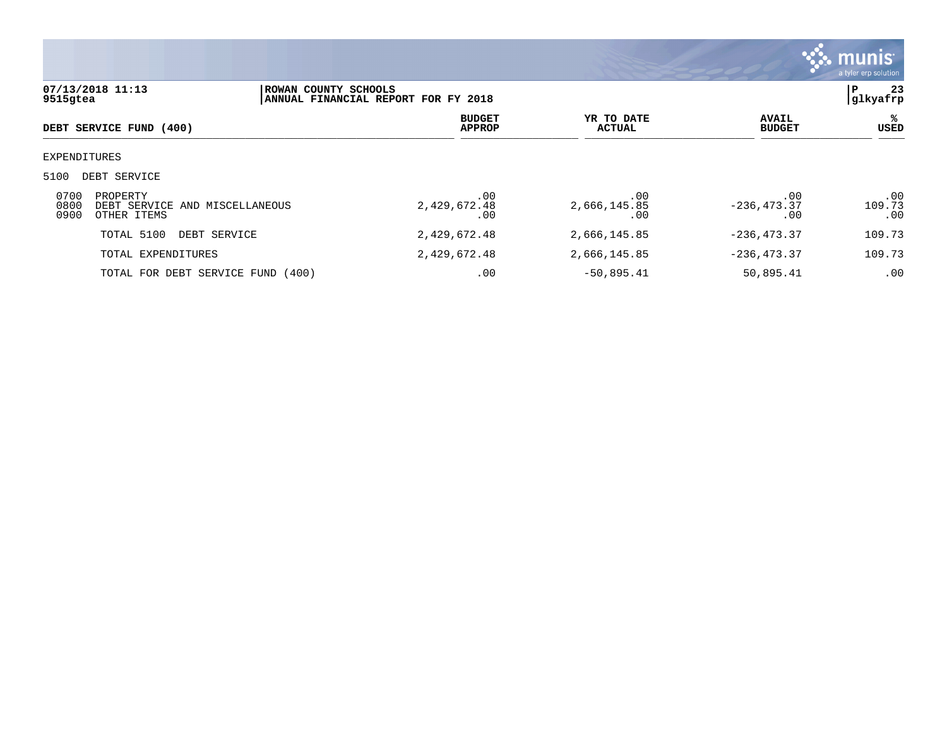

|                      | 07/13/2018 11:13                                          | ROWAN COUNTY SCHOOLS                |                             |                               | 23<br>P              |
|----------------------|-----------------------------------------------------------|-------------------------------------|-----------------------------|-------------------------------|----------------------|
| 9515gtea             |                                                           | ANNUAL FINANCIAL REPORT FOR FY 2018 |                             |                               | glkyafrp             |
|                      | DEBT SERVICE FUND (400)                                   | <b>BUDGET</b><br><b>APPROP</b>      | YR TO DATE<br><b>ACTUAL</b> | <b>AVAIL</b><br><b>BUDGET</b> | ℁<br>USED            |
|                      | EXPENDITURES                                              |                                     |                             |                               |                      |
| 5100                 | DEBT SERVICE                                              |                                     |                             |                               |                      |
| 0700<br>0800<br>0900 | PROPERTY<br>DEBT SERVICE AND MISCELLANEOUS<br>OTHER ITEMS | .00<br>2,429,672.48<br>.00          | .00<br>2,666,145.85<br>.00  | .00<br>$-236, 473.37$<br>.00  | .00<br>109.73<br>.00 |
|                      | TOTAL 5100<br>DEBT SERVICE                                | 2,429,672.48                        | 2,666,145.85                | $-236, 473.37$                | 109.73               |
|                      | TOTAL EXPENDITURES                                        | 2,429,672.48                        | 2,666,145.85                | $-236, 473.37$                | 109.73               |
|                      | TOTAL FOR DEBT SERVICE FUND (400)                         | .00                                 | $-50,895.41$                | 50,895.41                     | .00                  |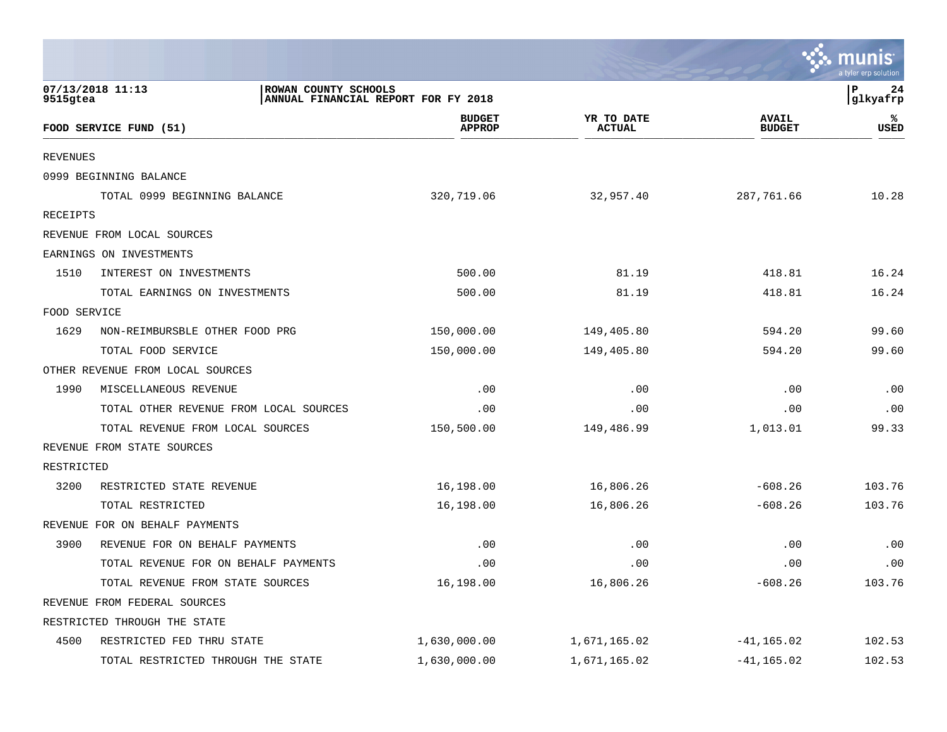|                 |                                                                                 |                                |                             |                               | ะ: munis<br>a tyler erp solution |
|-----------------|---------------------------------------------------------------------------------|--------------------------------|-----------------------------|-------------------------------|----------------------------------|
| 9515gtea        | 07/13/2018 11:13<br>ROWAN COUNTY SCHOOLS<br>ANNUAL FINANCIAL REPORT FOR FY 2018 |                                |                             |                               | l P<br>24<br>glkyafrp            |
|                 | FOOD SERVICE FUND (51)                                                          | <b>BUDGET</b><br><b>APPROP</b> | YR TO DATE<br><b>ACTUAL</b> | <b>AVAIL</b><br><b>BUDGET</b> | ℁<br><b>USED</b>                 |
| <b>REVENUES</b> |                                                                                 |                                |                             |                               |                                  |
|                 | 0999 BEGINNING BALANCE                                                          |                                |                             |                               |                                  |
|                 | TOTAL 0999 BEGINNING BALANCE                                                    | 320,719.06                     | 32,957.40                   | 287,761.66                    | 10.28                            |
| RECEIPTS        |                                                                                 |                                |                             |                               |                                  |
|                 | REVENUE FROM LOCAL SOURCES                                                      |                                |                             |                               |                                  |
|                 | EARNINGS ON INVESTMENTS                                                         |                                |                             |                               |                                  |
| 1510            | INTEREST ON INVESTMENTS                                                         | 500.00                         | 81.19                       | 418.81                        | 16.24                            |
|                 | TOTAL EARNINGS ON INVESTMENTS                                                   | 500.00                         | 81.19                       | 418.81                        | 16.24                            |
| FOOD SERVICE    |                                                                                 |                                |                             |                               |                                  |
| 1629            | NON-REIMBURSBLE OTHER FOOD PRG                                                  | 150,000.00                     | 149,405.80                  | 594.20                        | 99.60                            |
|                 | TOTAL FOOD SERVICE                                                              | 150,000.00                     | 149,405.80                  | 594.20                        | 99.60                            |
|                 | OTHER REVENUE FROM LOCAL SOURCES                                                |                                |                             |                               |                                  |
| 1990            | MISCELLANEOUS REVENUE                                                           | .00                            | .00                         | .00                           | .00                              |
|                 | TOTAL OTHER REVENUE FROM LOCAL SOURCES                                          | .00                            | .00                         | .00                           | .00                              |
|                 | TOTAL REVENUE FROM LOCAL SOURCES                                                | 150,500.00                     | 149,486.99                  | 1,013.01                      | 99.33                            |
|                 | REVENUE FROM STATE SOURCES                                                      |                                |                             |                               |                                  |
| RESTRICTED      |                                                                                 |                                |                             |                               |                                  |
| 3200            | RESTRICTED STATE REVENUE                                                        | 16,198.00                      | 16,806.26                   | $-608.26$                     | 103.76                           |
|                 | TOTAL RESTRICTED                                                                | 16,198.00                      | 16,806.26                   | $-608.26$                     | 103.76                           |
|                 | REVENUE FOR ON BEHALF PAYMENTS                                                  |                                |                             |                               |                                  |
| 3900            | REVENUE FOR ON BEHALF PAYMENTS                                                  | .00                            | .00                         | .00                           | .00                              |
|                 | TOTAL REVENUE FOR ON BEHALF PAYMENTS                                            | .00                            | .00                         | .00                           | .00                              |
|                 | TOTAL REVENUE FROM STATE SOURCES                                                | 16,198.00                      | 16,806.26                   | $-608.26$                     | 103.76                           |
|                 | REVENUE FROM FEDERAL SOURCES                                                    |                                |                             |                               |                                  |
|                 | RESTRICTED THROUGH THE STATE                                                    |                                |                             |                               |                                  |
| 4500            | RESTRICTED FED THRU STATE                                                       | 1,630,000.00                   | 1,671,165.02                | $-41, 165.02$                 | 102.53                           |
|                 | TOTAL RESTRICTED THROUGH THE STATE                                              | 1,630,000.00                   | 1,671,165.02                | $-41, 165.02$                 | 102.53                           |

the contract of the contract of the contract of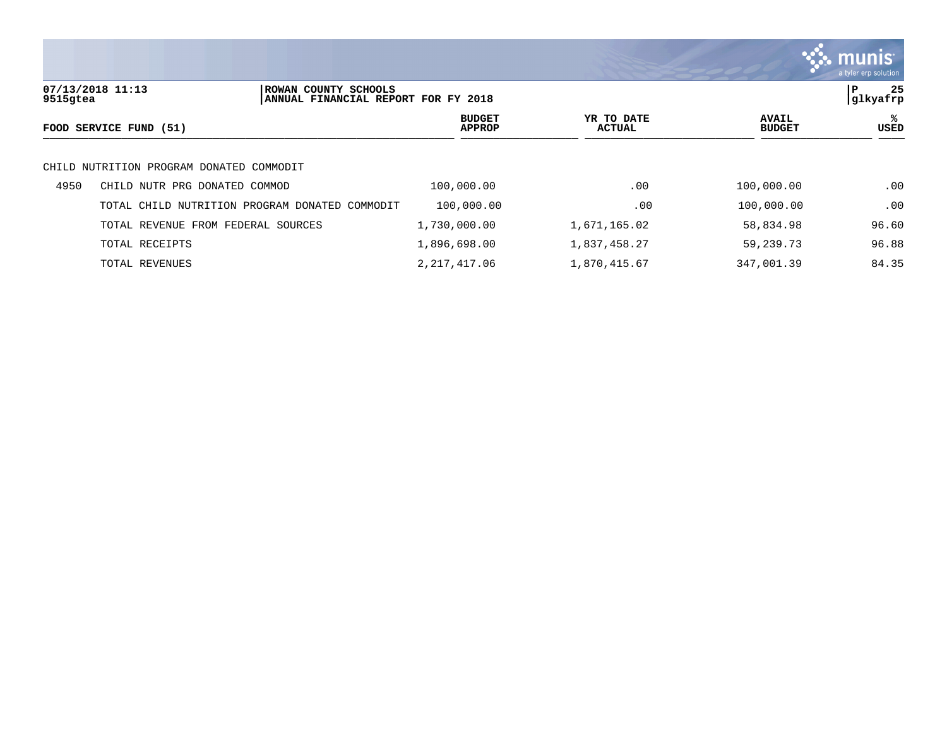

| 07/13/2018 11:13<br>ROWAN COUNTY SCHOOLS<br>9515gtea<br>ANNUAL FINANCIAL REPORT FOR FY 2018 |                                       |          |                         |                             |                               | ΙP<br> glkyafrp | 25  |
|---------------------------------------------------------------------------------------------|---------------------------------------|----------|-------------------------|-----------------------------|-------------------------------|-----------------|-----|
|                                                                                             | FOOD SERVICE FUND (51)                |          | <b>BUDGET</b><br>APPROP | YR TO DATE<br><b>ACTUAL</b> | <b>AVAIL</b><br><b>BUDGET</b> | USED            | ℁   |
| CHILD                                                                                       | NUTRITION PROGRAM DONATED COMMODIT    |          |                         |                             |                               |                 |     |
| 4950                                                                                        | CHILD NUTR PRG DONATED COMMOD         |          | 100,000.00              | .00                         | 100,000.00                    |                 | .00 |
|                                                                                             | TOTAL CHILD NUTRITION PROGRAM DONATED | COMMODIT | 100,000.00              | .00                         | 100,000.00                    |                 | .00 |
|                                                                                             | TOTAL REVENUE FROM FEDERAL SOURCES    |          | 1,730,000.00            | 1,671,165.02                | 58,834.98                     | 96.60           |     |
|                                                                                             | TOTAL RECEIPTS                        |          | 1,896,698.00            | 1,837,458.27                | 59,239.73                     | 96.88           |     |
|                                                                                             | TOTAL REVENUES                        |          | 2,217,417.06            | 1,870,415.67                | 347,001.39                    | 84.35           |     |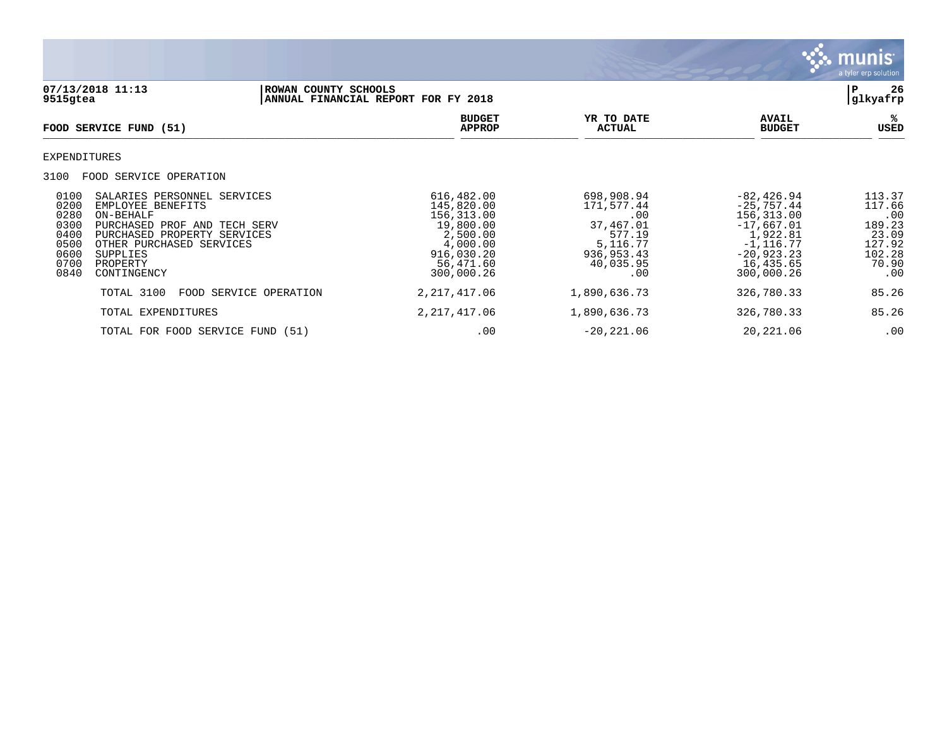

**07/13/2018 11:13 |ROWAN COUNTY SCHOOLS |P 26** ANNUAL FINANCIAL REPORT FOR FY 2018 **BUDGET YR TO DATE AVAIL %**  $FOOD$  **SERVICE FUND** (51)  $\frac{A \text{H} \text{R}}{A \text{H} \text{H} \text{R}}$ EXPENDITURES 3100 FOOD SERVICE OPERATION 0100 SALARIES PERSONNEL SERVICES (616,482.00 698,908.94 -82,426.94 -82,426.94 113.37<br>0200 EMPLOYEE BENEFITS (66 117.66 115,820.00 171,577.44 - 25,757.44 117.66 0200 EMPLOYEE BENEFITS 145,820.00 171,577.44 -25,757.44 117.66 0280 ON-BEHALF 156,313.00 .00 156,313.00 .00 0300 PURCHASED PROF AND TECH SERV 19,800.00 37,467.01 -17,667.01 189.23 0400 PURCHASED PROPERTY SERVICES 2,500.00 577.19 1,922.81 23.09 0500 OTHER PURCHASED SERVICES (127.92 ) 4,000.00 (4,000.00 5,116.77 -1,116.77 -1,116.77 127.92<br>0600 SUPPLIES -20,923.23 102.28 0600 SUPPLIES 916,030.20 936,953.43 -20,923.23 102.28 0700 PROPERTY 56,471.60 40,035.95 16,435.65 70.90 0840 CONTINGENCY 300,000.26 .00 300,000.26 .00 TOTAL 3100 FOOD SERVICE OPERATION 2,217,417.06 1,890,636.73 326,780.33 85.26 TOTAL EXPENDITURES 2,217,417.06 1,890,636.73 326,780.33 85.26

TOTAL FOR FOOD SERVICE FUND (51)  $\qquad \qquad 00$  -20,221.06 20,221.06 .00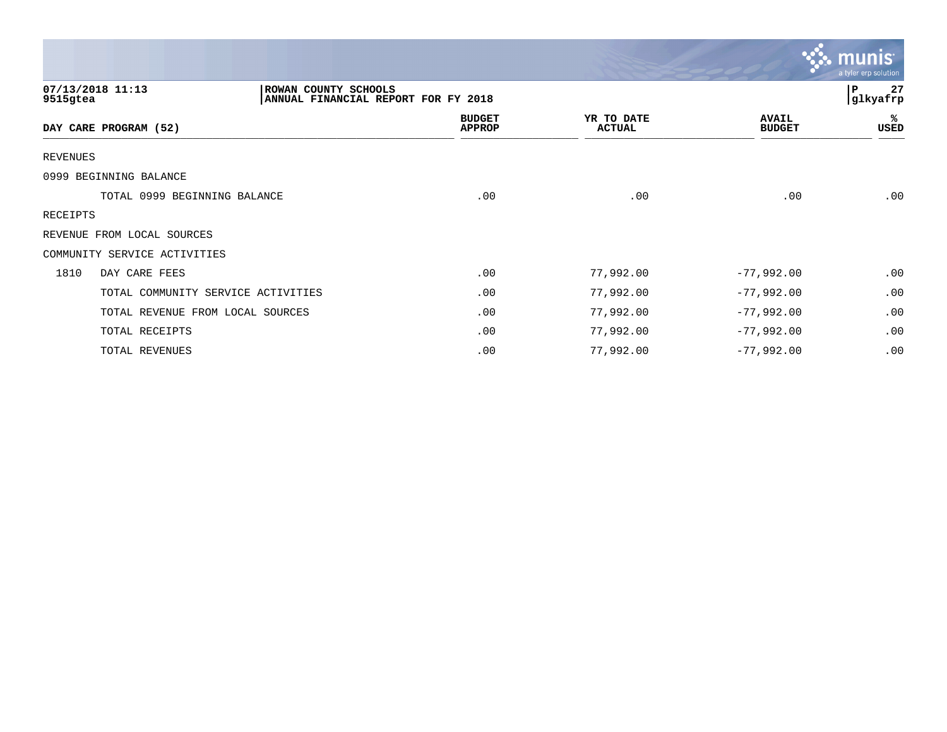|                                    |                                                             |                                |                             |                               | munis<br>a tyler erp solution |
|------------------------------------|-------------------------------------------------------------|--------------------------------|-----------------------------|-------------------------------|-------------------------------|
| 07/13/2018 11:13<br>9515gtea       | ROWAN COUNTY SCHOOLS<br>ANNUAL FINANCIAL REPORT FOR FY 2018 |                                |                             |                               | 27<br> P<br>glkyafrp          |
| DAY CARE PROGRAM (52)              |                                                             | <b>BUDGET</b><br><b>APPROP</b> | YR TO DATE<br><b>ACTUAL</b> | <b>AVAIL</b><br><b>BUDGET</b> | ℁<br>USED                     |
| <b>REVENUES</b>                    |                                                             |                                |                             |                               |                               |
| 0999 BEGINNING BALANCE             |                                                             |                                |                             |                               |                               |
| TOTAL 0999 BEGINNING BALANCE       |                                                             | .00                            | .00                         | .00                           | .00                           |
| RECEIPTS                           |                                                             |                                |                             |                               |                               |
| REVENUE FROM LOCAL SOURCES         |                                                             |                                |                             |                               |                               |
| COMMUNITY SERVICE ACTIVITIES       |                                                             |                                |                             |                               |                               |
| DAY CARE FEES<br>1810              |                                                             | .00                            | 77,992.00                   | $-77,992.00$                  | .00                           |
| TOTAL COMMUNITY SERVICE ACTIVITIES |                                                             | .00                            | 77,992.00                   | $-77,992.00$                  | .00                           |
| TOTAL REVENUE FROM LOCAL SOURCES   |                                                             | .00                            | 77,992.00                   | $-77,992.00$                  | .00                           |
| TOTAL RECEIPTS                     |                                                             | .00                            | 77,992.00                   | $-77,992.00$                  | .00                           |
| TOTAL REVENUES                     |                                                             | .00                            | 77,992.00                   | $-77,992.00$                  | .00                           |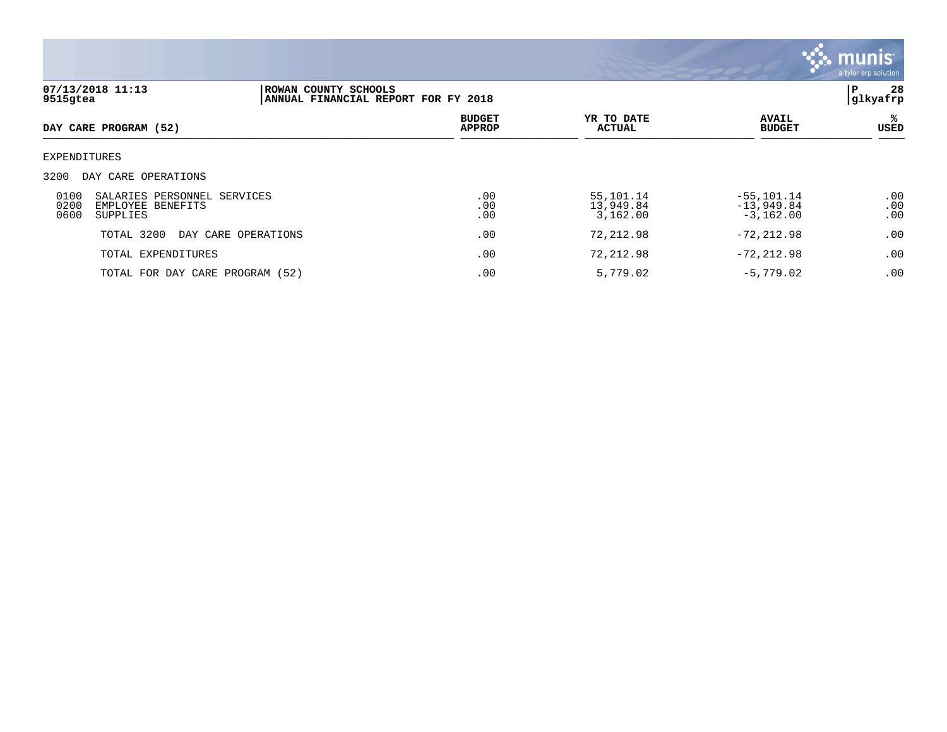

| 9515gtea             | 07/13/2018 11:13                                             | P<br>ROWAN COUNTY SCHOOLS<br> glkyafrp<br>ANNUAL FINANCIAL REPORT FOR FY 2018 |                                |                                    |                                              |                   |  |  |
|----------------------|--------------------------------------------------------------|-------------------------------------------------------------------------------|--------------------------------|------------------------------------|----------------------------------------------|-------------------|--|--|
|                      | DAY CARE PROGRAM (52)                                        |                                                                               | <b>BUDGET</b><br><b>APPROP</b> | YR TO DATE<br><b>ACTUAL</b>        | <b>AVAIL</b><br><b>BUDGET</b>                | %<br>USED         |  |  |
| EXPENDITURES         |                                                              |                                                                               |                                |                                    |                                              |                   |  |  |
| 3200                 | DAY CARE OPERATIONS                                          |                                                                               |                                |                                    |                                              |                   |  |  |
| 0100<br>0200<br>0600 | SALARIES PERSONNEL SERVICES<br>EMPLOYEE BENEFITS<br>SUPPLIES |                                                                               | .00<br>.00<br>.00              | 55,101.14<br>13,949.84<br>3,162.00 | $-55, 101.14$<br>$-13,949.84$<br>$-3,162.00$ | .00<br>.00<br>.00 |  |  |
|                      | TOTAL 3200<br>DAY CARE OPERATIONS                            |                                                                               | .00                            | 72,212.98                          | $-72, 212.98$                                | .00               |  |  |
|                      | TOTAL EXPENDITURES                                           |                                                                               | .00                            | 72,212.98                          | $-72, 212.98$                                | .00               |  |  |
|                      | TOTAL FOR DAY CARE PROGRAM (52)                              |                                                                               | .00                            | 5,779.02                           | $-5,779.02$                                  | .00               |  |  |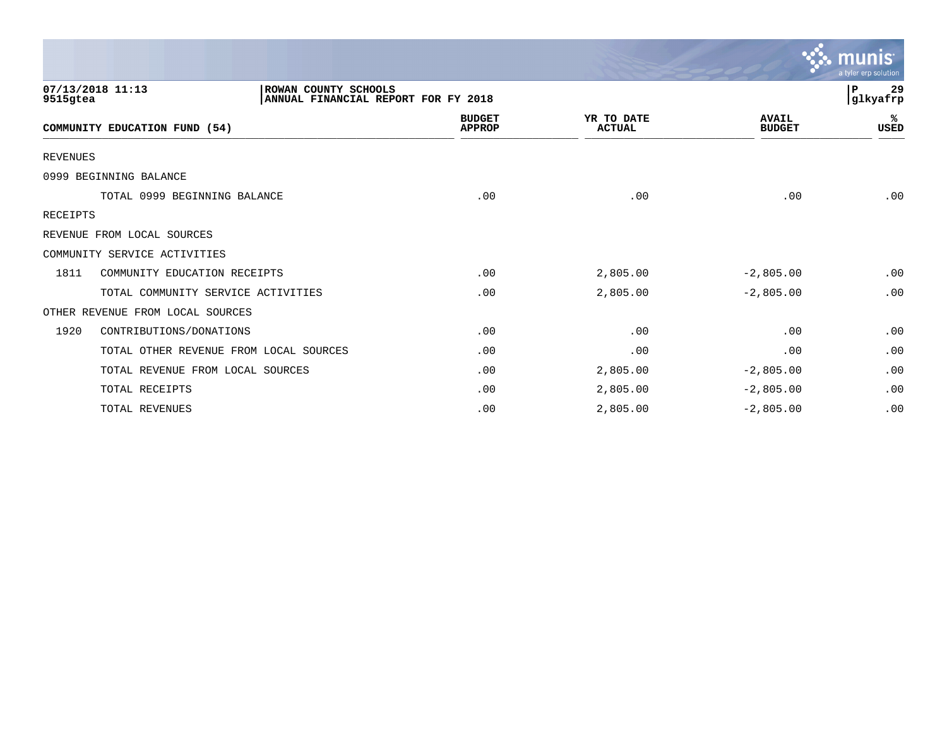|                 |                                                                                 |                                |                             |                               | munis<br>a tyler erp solution |
|-----------------|---------------------------------------------------------------------------------|--------------------------------|-----------------------------|-------------------------------|-------------------------------|
| 9515gtea        | 07/13/2018 11:13<br>ROWAN COUNTY SCHOOLS<br>ANNUAL FINANCIAL REPORT FOR FY 2018 |                                |                             |                               | 29<br>P<br>glkyafrp           |
|                 | COMMUNITY EDUCATION FUND (54)                                                   | <b>BUDGET</b><br><b>APPROP</b> | YR TO DATE<br><b>ACTUAL</b> | <b>AVAIL</b><br><b>BUDGET</b> | ℁<br><b>USED</b>              |
| <b>REVENUES</b> |                                                                                 |                                |                             |                               |                               |
|                 | 0999 BEGINNING BALANCE                                                          |                                |                             |                               |                               |
|                 | TOTAL 0999 BEGINNING BALANCE                                                    | .00                            | .00                         | .00                           | .00                           |
| RECEIPTS        |                                                                                 |                                |                             |                               |                               |
|                 | REVENUE FROM LOCAL SOURCES                                                      |                                |                             |                               |                               |
|                 | COMMUNITY SERVICE ACTIVITIES                                                    |                                |                             |                               |                               |
| 1811            | COMMUNITY EDUCATION RECEIPTS                                                    | .00                            | 2,805.00                    | $-2,805.00$                   | .00                           |
|                 | TOTAL COMMUNITY SERVICE ACTIVITIES                                              | .00                            | 2,805.00                    | $-2,805.00$                   | .00                           |
|                 | OTHER REVENUE FROM LOCAL SOURCES                                                |                                |                             |                               |                               |
| 1920            | CONTRIBUTIONS/DONATIONS                                                         | .00                            | .00                         | .00                           | .00                           |
|                 | TOTAL OTHER REVENUE FROM LOCAL SOURCES                                          | .00                            | .00                         | .00                           | .00                           |
|                 | TOTAL REVENUE FROM LOCAL SOURCES                                                | .00                            | 2,805.00                    | $-2,805.00$                   | .00                           |
|                 | TOTAL RECEIPTS                                                                  | .00                            | 2,805.00                    | $-2,805.00$                   | .00                           |
|                 | TOTAL REVENUES                                                                  | .00                            | 2,805.00                    | $-2,805.00$                   | .00                           |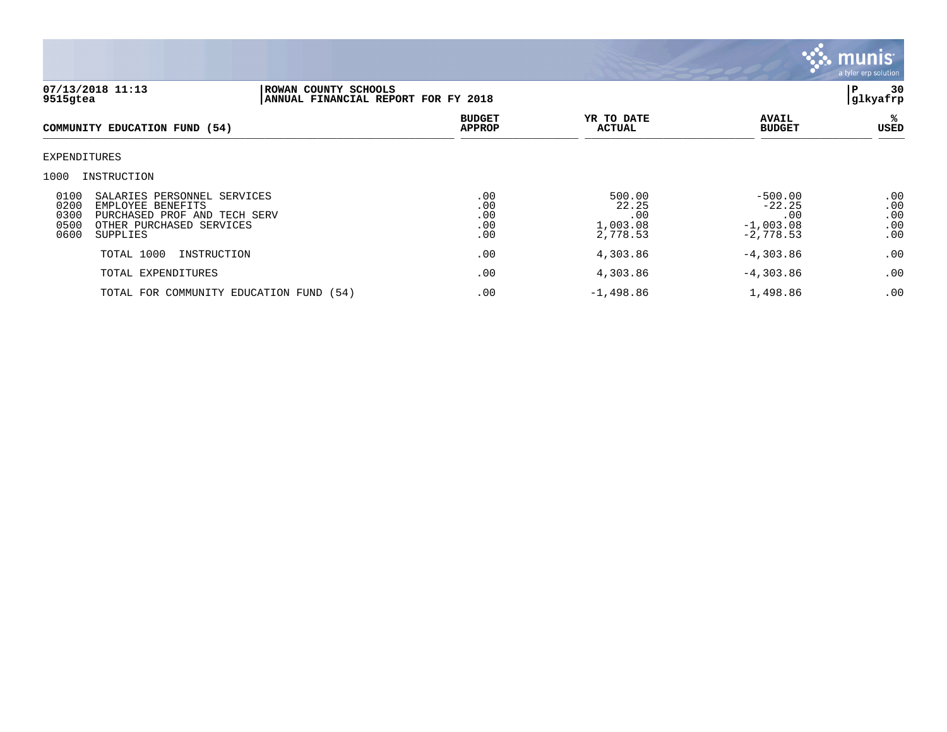

| 07/13/2018 11:13<br>9515gtea                                                                                                                                     | ROWAN COUNTY SCHOOLS<br>ANNUAL FINANCIAL REPORT FOR FY 2018 |                                 |                                                |                                                            | 30<br>Р<br>glkyafrp             |
|------------------------------------------------------------------------------------------------------------------------------------------------------------------|-------------------------------------------------------------|---------------------------------|------------------------------------------------|------------------------------------------------------------|---------------------------------|
| COMMUNITY EDUCATION FUND (54)                                                                                                                                    |                                                             | <b>BUDGET</b><br><b>APPROP</b>  | YR TO DATE<br><b>ACTUAL</b>                    | <b>AVAIL</b><br><b>BUDGET</b>                              | ℁<br>USED                       |
| EXPENDITURES                                                                                                                                                     |                                                             |                                 |                                                |                                                            |                                 |
| 1000<br>INSTRUCTION                                                                                                                                              |                                                             |                                 |                                                |                                                            |                                 |
| 0100<br>SALARIES PERSONNEL SERVICES<br>0200<br>EMPLOYEE BENEFITS<br>0300<br>PURCHASED PROF AND TECH SERV<br>0500<br>OTHER PURCHASED SERVICES<br>0600<br>SUPPLIES |                                                             | .00<br>.00<br>.00<br>.00<br>.00 | 500.00<br>22.25<br>.00<br>1,003.08<br>2,778.53 | $-500.00$<br>$-22.25$<br>.00<br>$-1,003.08$<br>$-2,778.53$ | .00<br>.00<br>.00<br>.00<br>.00 |
| TOTAL 1000<br>INSTRUCTION                                                                                                                                        |                                                             | .00                             | 4,303.86                                       | $-4,303.86$                                                | .00                             |
| TOTAL EXPENDITURES                                                                                                                                               |                                                             | .00                             | 4,303.86                                       | $-4,303.86$                                                | .00                             |
|                                                                                                                                                                  | TOTAL FOR COMMUNITY EDUCATION FUND (54)                     | .00                             | $-1,498.86$                                    | 1,498.86                                                   | .00                             |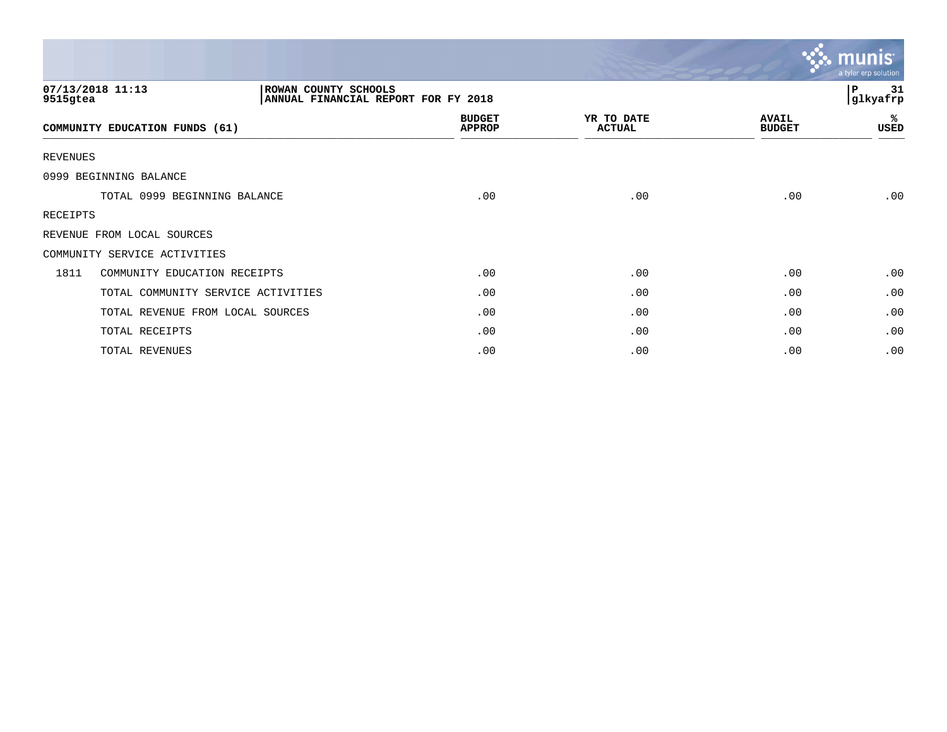|                 |                                                                                 |                                |                             |                               | munis<br>a tyler erp solution |
|-----------------|---------------------------------------------------------------------------------|--------------------------------|-----------------------------|-------------------------------|-------------------------------|
| 9515gtea        | 07/13/2018 11:13<br>ROWAN COUNTY SCHOOLS<br>ANNUAL FINANCIAL REPORT FOR FY 2018 |                                |                             |                               | P<br>31<br>glkyafrp           |
|                 | COMMUNITY EDUCATION FUNDS (61)                                                  | <b>BUDGET</b><br><b>APPROP</b> | YR TO DATE<br><b>ACTUAL</b> | <b>AVAIL</b><br><b>BUDGET</b> | %<br>USED                     |
| <b>REVENUES</b> |                                                                                 |                                |                             |                               |                               |
|                 | 0999 BEGINNING BALANCE                                                          |                                |                             |                               |                               |
|                 | TOTAL 0999 BEGINNING BALANCE                                                    | .00                            | .00                         | .00                           | .00                           |
| RECEIPTS        |                                                                                 |                                |                             |                               |                               |
|                 | REVENUE FROM LOCAL SOURCES                                                      |                                |                             |                               |                               |
|                 | COMMUNITY SERVICE ACTIVITIES                                                    |                                |                             |                               |                               |
| 1811            | COMMUNITY EDUCATION RECEIPTS                                                    | .00                            | .00                         | .00                           | .00                           |
|                 | TOTAL COMMUNITY SERVICE ACTIVITIES                                              | .00                            | .00                         | .00                           | .00.                          |
|                 | TOTAL REVENUE FROM LOCAL SOURCES                                                | .00                            | .00                         | .00                           | .00                           |
|                 | TOTAL RECEIPTS                                                                  | .00                            | .00                         | .00                           | .00                           |
|                 | TOTAL REVENUES                                                                  | .00                            | .00                         | .00                           | .00                           |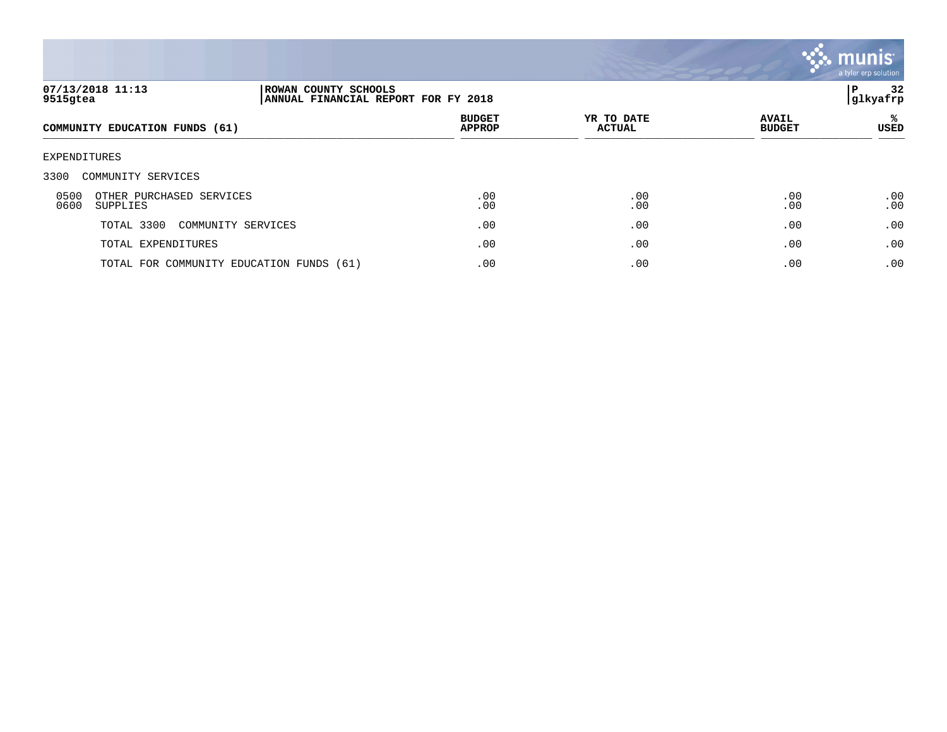

| 07/13/2018 11:13<br>9515gtea                         | ROWAN COUNTY SCHOOLS<br>ANNUAL FINANCIAL REPORT FOR FY 2018 |                                |                             |                               | 32<br>Р<br> glkyafrp |
|------------------------------------------------------|-------------------------------------------------------------|--------------------------------|-----------------------------|-------------------------------|----------------------|
| COMMUNITY EDUCATION FUNDS (61)                       |                                                             | <b>BUDGET</b><br><b>APPROP</b> | YR TO DATE<br><b>ACTUAL</b> | <b>AVAIL</b><br><b>BUDGET</b> | ℁<br><b>USED</b>     |
| EXPENDITURES                                         |                                                             |                                |                             |                               |                      |
| 3300<br>COMMUNITY SERVICES                           |                                                             |                                |                             |                               |                      |
| 0500<br>OTHER PURCHASED SERVICES<br>0600<br>SUPPLIES |                                                             | .00<br>.00                     | .00<br>.00                  | .00<br>.00                    | .00<br>.00           |
| TOTAL 3300                                           | COMMUNITY SERVICES                                          | .00                            | .00                         | .00                           | .00                  |
| TOTAL EXPENDITURES                                   |                                                             | .00                            | .00                         | .00                           | .00                  |
|                                                      | TOTAL FOR COMMUNITY EDUCATION FUNDS (61)                    | .00                            | .00                         | .00                           | .00                  |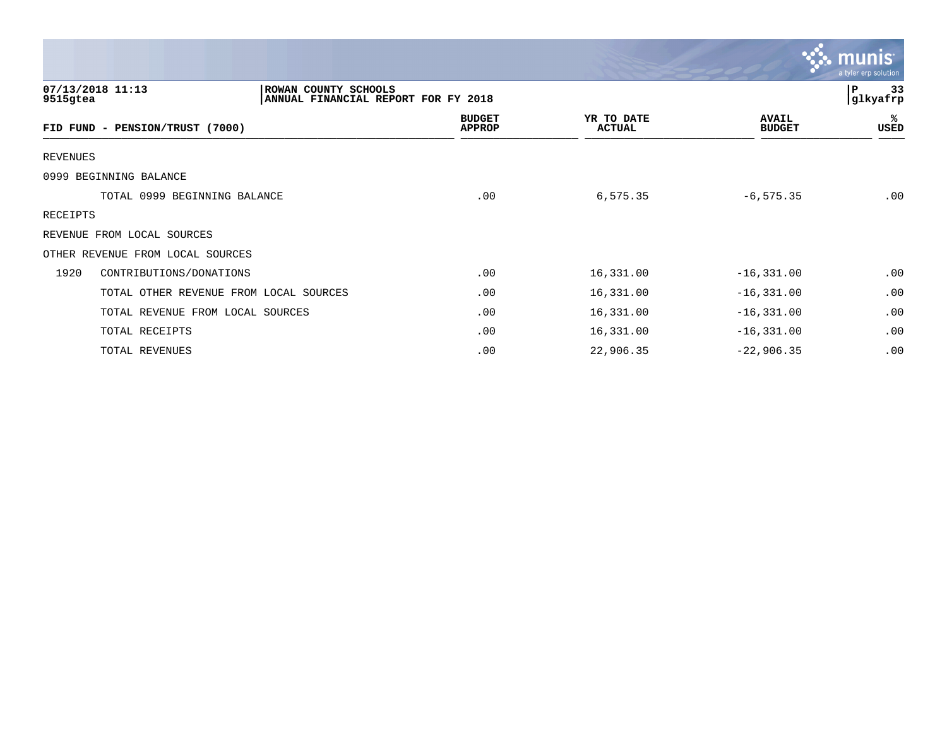|                 |                                                                                 |                                |                      |                               | <b>munis</b><br>a tyler erp solution |
|-----------------|---------------------------------------------------------------------------------|--------------------------------|----------------------|-------------------------------|--------------------------------------|
| 9515gtea        | 07/13/2018 11:13<br>ROWAN COUNTY SCHOOLS<br>ANNUAL FINANCIAL REPORT FOR FY 2018 |                                |                      |                               | P<br>33<br>glkyafrp                  |
|                 | FID FUND - PENSION/TRUST (7000)                                                 | <b>BUDGET</b><br><b>APPROP</b> | YR TO DATE<br>ACTUAL | <b>AVAIL</b><br><b>BUDGET</b> | ℁<br>USED                            |
| <b>REVENUES</b> |                                                                                 |                                |                      |                               |                                      |
|                 | 0999 BEGINNING BALANCE                                                          |                                |                      |                               |                                      |
|                 | TOTAL 0999 BEGINNING BALANCE                                                    | .00                            | 6,575.35             | $-6, 575.35$                  | .00                                  |
| <b>RECEIPTS</b> |                                                                                 |                                |                      |                               |                                      |
|                 | REVENUE FROM LOCAL SOURCES                                                      |                                |                      |                               |                                      |
|                 | OTHER REVENUE FROM LOCAL SOURCES                                                |                                |                      |                               |                                      |
| 1920            | CONTRIBUTIONS/DONATIONS                                                         | .00                            | 16,331.00            | $-16, 331.00$                 | .00                                  |
|                 | TOTAL OTHER REVENUE FROM LOCAL SOURCES                                          | .00                            | 16,331.00            | $-16, 331.00$                 | .00                                  |
|                 | TOTAL REVENUE FROM LOCAL SOURCES                                                | .00                            | 16,331.00            | $-16, 331.00$                 | .00                                  |
|                 | TOTAL RECEIPTS                                                                  | .00                            | 16,331.00            | $-16, 331.00$                 | .00                                  |
|                 | TOTAL REVENUES                                                                  | .00                            | 22,906.35            | $-22,906.35$                  | .00                                  |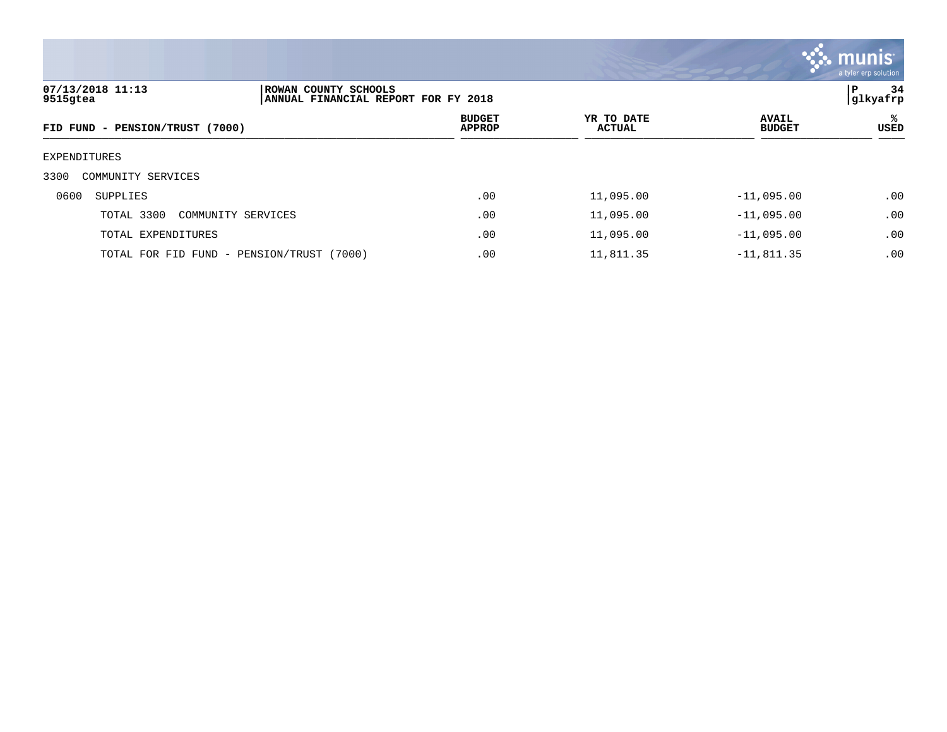

| 07/13/2018 11:13<br>ROWAN COUNTY SCHOOLS<br>9515gtea<br>ANNUAL FINANCIAL REPORT FOR FY 2018 |                                |                             |                               |           |
|---------------------------------------------------------------------------------------------|--------------------------------|-----------------------------|-------------------------------|-----------|
| FID FUND - PENSION/TRUST (7000)                                                             | <b>BUDGET</b><br><b>APPROP</b> | YR TO DATE<br><b>ACTUAL</b> | <b>AVAIL</b><br><b>BUDGET</b> | ℁<br>USED |
| EXPENDITURES                                                                                |                                |                             |                               |           |
| 3300<br>COMMUNITY SERVICES                                                                  |                                |                             |                               |           |
| 0600<br>SUPPLIES                                                                            | .00                            | 11,095.00                   | $-11,095.00$                  | .00       |
| TOTAL 3300<br>COMMUNITY SERVICES                                                            | .00                            | 11,095.00                   | $-11,095.00$                  | .00       |
| TOTAL EXPENDITURES                                                                          | .00                            | 11,095.00                   | $-11,095.00$                  | .00       |
| TOTAL FOR FID FUND - PENSION/TRUST (7000)                                                   | .00                            | 11,811.35                   | $-11,811.35$                  | .00       |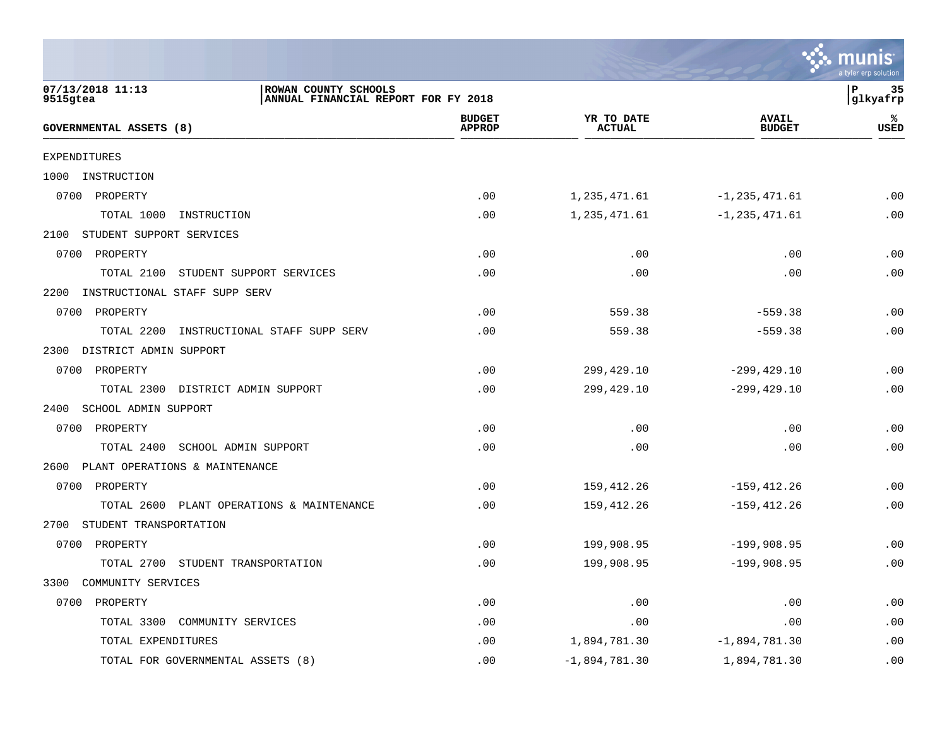|                                                                                             |                                |                             |                               | mu<br>a tyler erp solution  |
|---------------------------------------------------------------------------------------------|--------------------------------|-----------------------------|-------------------------------|-----------------------------|
| 07/13/2018 11:13<br>ROWAN COUNTY SCHOOLS<br>9515gtea<br>ANNUAL FINANCIAL REPORT FOR FY 2018 |                                |                             |                               | P<br>-35<br>glkyafrp        |
| GOVERNMENTAL ASSETS (8)                                                                     | <b>BUDGET</b><br><b>APPROP</b> | YR TO DATE<br><b>ACTUAL</b> | <b>AVAIL</b><br><b>BUDGET</b> | ℁<br>USED                   |
| <b>EXPENDITURES</b>                                                                         |                                |                             |                               |                             |
| INSTRUCTION<br>1000                                                                         |                                |                             |                               |                             |
| 0700<br>PROPERTY                                                                            | .00                            | 1,235,471.61                | $-1, 235, 471.61$             | .00                         |
| TOTAL 1000<br>INSTRUCTION                                                                   | .00                            | 1,235,471.61                | $-1, 235, 471.61$             | .00                         |
| STUDENT SUPPORT SERVICES<br>2100                                                            |                                |                             |                               |                             |
| PROPERTY<br>0700                                                                            | .00                            | .00                         | .00                           | .00                         |
| TOTAL 2100<br>STUDENT SUPPORT SERVICES                                                      | .00                            | .00                         | .00                           | .00                         |
| 2200<br>INSTRUCTIONAL STAFF SUPP SERV                                                       |                                |                             |                               |                             |
| 0700<br>PROPERTY                                                                            | .00                            | 559.38                      | $-559.38$                     | .00                         |
| TOTAL 2200<br>INSTRUCTIONAL STAFF SUPP SERV                                                 | .00                            | 559.38                      | $-559.38$                     | .00                         |
| DISTRICT ADMIN SUPPORT<br>2300                                                              |                                |                             |                               |                             |
| 0700 PROPERTY                                                                               | .00                            | 299,429.10                  | $-299, 429.10$                | .00                         |
| TOTAL 2300 DISTRICT ADMIN SUPPORT                                                           | .00                            | 299, 429. 10                | $-299, 429.10$                | .00                         |
| 2400<br>SCHOOL ADMIN SUPPORT                                                                |                                |                             |                               |                             |
| 0700<br>PROPERTY                                                                            | .00                            | .00                         | .00                           | .00                         |
| TOTAL 2400 SCHOOL ADMIN SUPPORT                                                             | .00                            | .00                         | .00                           | .00                         |
| PLANT OPERATIONS & MAINTENANCE<br>2600                                                      |                                |                             |                               |                             |
| 0700 PROPERTY                                                                               | .00                            | 159,412.26                  | $-159, 412.26$                | .00                         |
| TOTAL 2600 PLANT OPERATIONS & MAINTENANCE                                                   | .00                            | 159,412.26                  | $-159, 412.26$                | .00                         |
| STUDENT TRANSPORTATION<br>2700                                                              |                                |                             |                               |                             |
| 0700<br>PROPERTY                                                                            | .00                            | 199,908.95                  | $-199,908.95$                 | .00                         |
| TOTAL 2700<br>STUDENT TRANSPORTATION                                                        | .00                            | 199,908.95                  | $-199,908.95$                 | .00                         |
| 3300<br>COMMUNITY SERVICES                                                                  |                                |                             |                               |                             |
| 0700<br>PROPERTY                                                                            | .00                            | .00                         | .00                           | $\boldsymbol{\mathsf{.00}}$ |
| TOTAL 3300 COMMUNITY SERVICES                                                               | .00                            | .00                         | .00                           | .00                         |
| TOTAL EXPENDITURES                                                                          | .00                            | 1,894,781.30                | $-1,894,781.30$               | .00                         |
| TOTAL FOR GOVERNMENTAL ASSETS (8)                                                           | .00                            | $-1,894,781.30$             | 1,894,781.30                  | .00                         |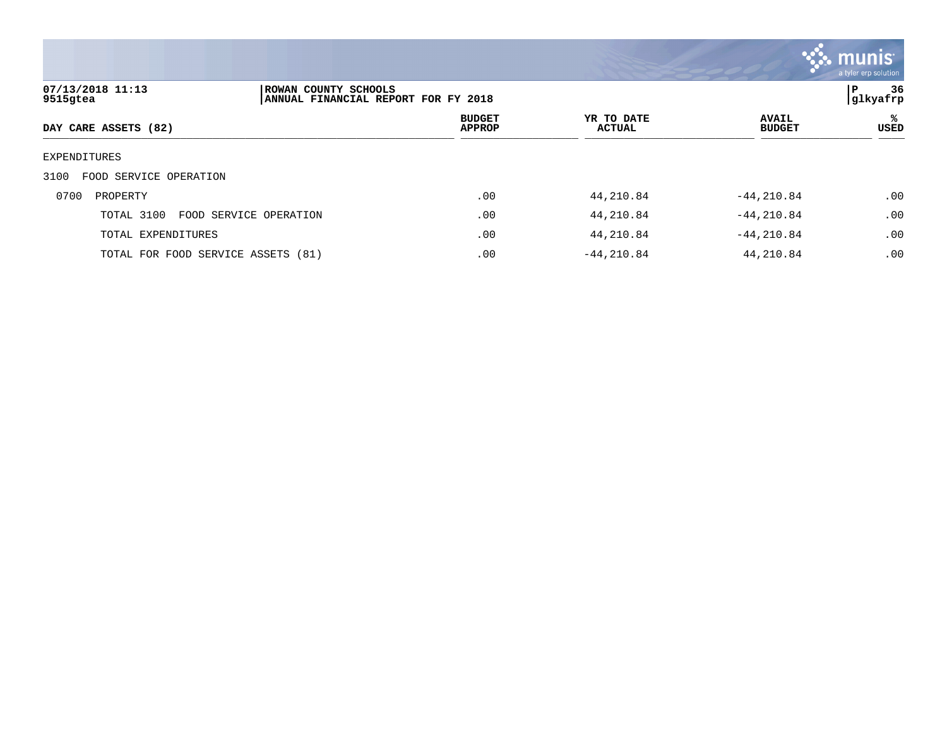

| 07/13/2018 11:13<br>9515gtea       | ROWAN COUNTY SCHOOLS<br>ANNUAL FINANCIAL REPORT FOR FY 2018 |                                |                             |                               | 36<br>l P<br> glkyafrp |
|------------------------------------|-------------------------------------------------------------|--------------------------------|-----------------------------|-------------------------------|------------------------|
| DAY CARE ASSETS (82)               |                                                             | <b>BUDGET</b><br><b>APPROP</b> | YR TO DATE<br><b>ACTUAL</b> | <b>AVAIL</b><br><b>BUDGET</b> | ℁<br>USED              |
| EXPENDITURES                       |                                                             |                                |                             |                               |                        |
| FOOD SERVICE OPERATION<br>3100     |                                                             |                                |                             |                               |                        |
| 0700<br>PROPERTY                   |                                                             | .00                            | 44,210.84                   | $-44.210.84$                  | .00                    |
| TOTAL 3100                         | FOOD SERVICE OPERATION                                      | .00                            | 44,210.84                   | $-44, 210.84$                 | .00                    |
| TOTAL EXPENDITURES                 |                                                             | .00                            | 44,210.84                   | $-44, 210.84$                 | .00                    |
| TOTAL FOR FOOD SERVICE ASSETS (81) |                                                             | .00                            | $-44, 210.84$               | 44,210.84                     | .00                    |
|                                    |                                                             |                                |                             |                               |                        |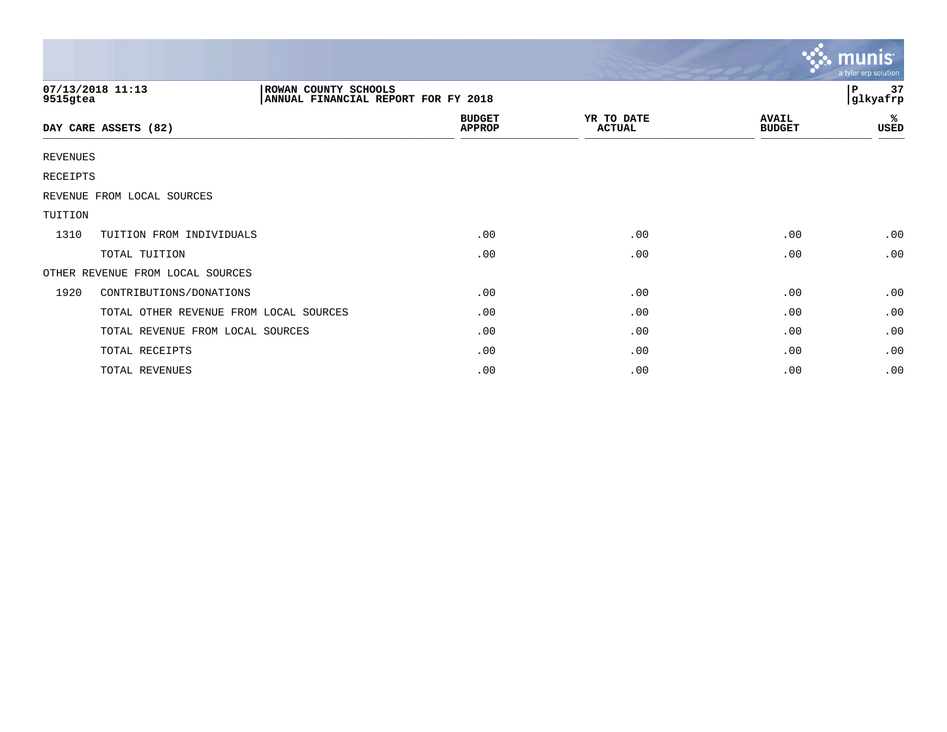|                                                                                             |                                        |  |                                |                             |                               | munis <sup>®</sup><br>a tyler erp solution |
|---------------------------------------------------------------------------------------------|----------------------------------------|--|--------------------------------|-----------------------------|-------------------------------|--------------------------------------------|
| 07/13/2018 11:13<br>ROWAN COUNTY SCHOOLS<br>ANNUAL FINANCIAL REPORT FOR FY 2018<br>9515gtea |                                        |  | 37<br>$\, {\bf P}$<br>glkyafrp |                             |                               |                                            |
|                                                                                             | DAY CARE ASSETS (82)                   |  | <b>BUDGET</b><br><b>APPROP</b> | YR TO DATE<br><b>ACTUAL</b> | <b>AVAIL</b><br><b>BUDGET</b> | %<br>USED                                  |
| REVENUES                                                                                    |                                        |  |                                |                             |                               |                                            |
| RECEIPTS                                                                                    |                                        |  |                                |                             |                               |                                            |
|                                                                                             | REVENUE FROM LOCAL SOURCES             |  |                                |                             |                               |                                            |
| TUITION                                                                                     |                                        |  |                                |                             |                               |                                            |
| 1310                                                                                        | TUITION FROM INDIVIDUALS               |  | .00                            | .00                         | .00                           | .00                                        |
|                                                                                             | TOTAL TUITION                          |  | .00                            | .00                         | .00                           | .00                                        |
|                                                                                             | OTHER REVENUE FROM LOCAL SOURCES       |  |                                |                             |                               |                                            |
| 1920                                                                                        | CONTRIBUTIONS/DONATIONS                |  | .00                            | .00                         | .00                           | .00                                        |
|                                                                                             | TOTAL OTHER REVENUE FROM LOCAL SOURCES |  | .00                            | .00                         | .00                           | .00                                        |
|                                                                                             | TOTAL REVENUE FROM LOCAL SOURCES       |  | .00                            | .00                         | .00                           | .00                                        |
|                                                                                             | TOTAL RECEIPTS                         |  | .00                            | .00                         | .00                           | .00                                        |
|                                                                                             | TOTAL REVENUES                         |  | .00                            | .00                         | .00                           | .00                                        |

and the contract of the contract of the contract of the contract of the contract of the contract of the contract of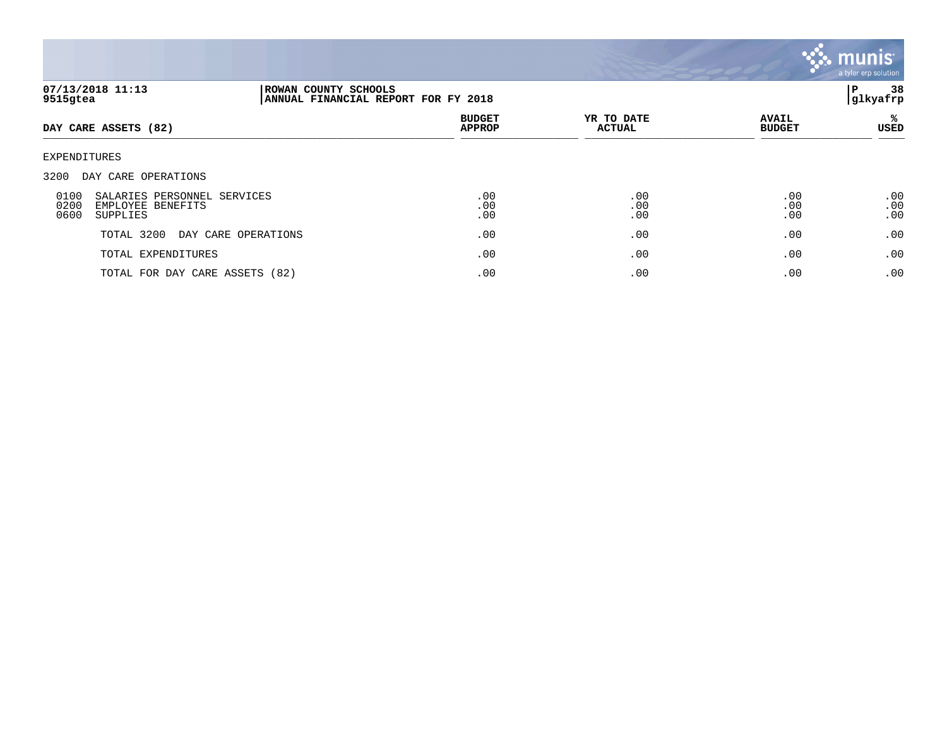

| 07/13/2018 11:13<br>9515gtea                                                         |                                | ROWAN COUNTY SCHOOLS<br>ANNUAL FINANCIAL REPORT FOR FY 2018 |                             |                               |                   |
|--------------------------------------------------------------------------------------|--------------------------------|-------------------------------------------------------------|-----------------------------|-------------------------------|-------------------|
| DAY CARE ASSETS (82)                                                                 |                                | <b>BUDGET</b><br><b>APPROP</b>                              | YR TO DATE<br><b>ACTUAL</b> | <b>AVAIL</b><br><b>BUDGET</b> | ℁<br>USED         |
| <b>EXPENDITURES</b>                                                                  |                                |                                                             |                             |                               |                   |
| 3200<br>DAY CARE OPERATIONS                                                          |                                |                                                             |                             |                               |                   |
| 0100<br>SALARIES PERSONNEL SERVICES<br>0200<br>EMPLOYEE BENEFITS<br>0600<br>SUPPLIES |                                | .00<br>.00<br>.00                                           | .00<br>.00<br>.00           | .00<br>.00<br>.00             | .00<br>.00<br>.00 |
| TOTAL 3200                                                                           | DAY CARE OPERATIONS            | .00                                                         | .00                         | .00                           | .00               |
| TOTAL EXPENDITURES                                                                   |                                | .00                                                         | .00                         | .00                           | .00               |
|                                                                                      | TOTAL FOR DAY CARE ASSETS (82) | .00                                                         | .00                         | .00                           | .00               |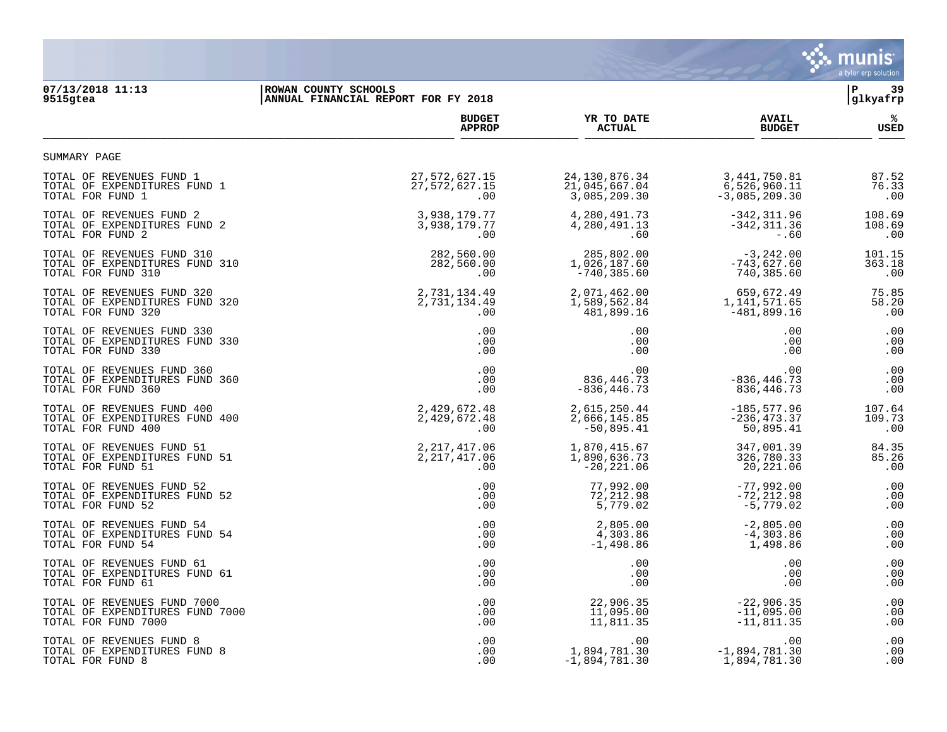

## **07/13/2018 11:13 |ROWAN COUNTY SCHOOLS |P 39 9515gtea |ANNUAL FINANCIAL REPORT FOR FY 2018 |glkyafrp BUDGET YR TO DATE AVAIL % APPROP ACTUAL BUDGET USED**  $\frac{A_{\text{r}}}{A_{\text{r}}+A_{\text{r}}+A_{\text{r}}+A_{\text{r}}+A_{\text{r}}+A_{\text{r}}+A_{\text{r}}+A_{\text{r}}+A_{\text{r}}+A_{\text{r}}+A_{\text{r}}+A_{\text{r}}+A_{\text{r}}+A_{\text{r}}+A_{\text{r}}+A_{\text{r}}+A_{\text{r}}+A_{\text{r}}+A_{\text{r}}+A_{\text{r}}+A_{\text{r}}+A_{\text{r}}+A_{\text{r}}+A_{\text{r}}+A_{\text{r}}+A_{\text{r}}+A$ TOTAL OF REVENUES FUND 1<br>
TOTAL OF EXPENDITURES FUND 1<br>
176.33<br>
176.33<br>
176.33<br>
176.33<br>
176.33<br>
176.33<br>
176.33<br>
176.33<br>
176.33<br>
176.33<br>
176.33<br>
176.33<br>
176.33<br>
176.33<br>
176.33<br>
176.33<br>
176.33<br>
176.33<br>
176.33<br>
176.33<br>
176.3 TOTAL OF EXPENDITURES FUND 1 27,572,627.15 21,045,667.04 6,526,960.11 76.33 00 . 100 . 100 . 100 . 100 . 100 . 100 . 100 . 100 . 100 . 100 . 100 . 100 . 100 . 100 . 100 . 100 . 100 . 100

| TOTAL OF REVENUES FUND 2        | 3,938,179.77   | 4,280,491.73    | $-342, 311.96$  | 108.69 |
|---------------------------------|----------------|-----------------|-----------------|--------|
| TOTAL OF EXPENDITURES FUND 2    | 3,938,179.77   | 4,280,491.13    | $-342, 311.36$  | 108.69 |
| TOTAL FOR FUND 2                | .00            | .60             | $-0.60$         | .00    |
| TOTAL OF REVENUES FUND 310      | 282,560.00     | 285,802.00      | $-3,242.00$     | 101.15 |
| TOTAL OF EXPENDITURES FUND 310  | 282,560.00     | 1,026,187.60    | $-743,627.60$   | 363.18 |
| TOTAL FOR FUND 310              | .00            | $-740, 385.60$  | 740,385.60      | .00    |
| TOTAL OF REVENUES FUND 320      | 2,731,134.49   | 2,071,462.00    | 659,672.49      | 75.85  |
| TOTAL OF EXPENDITURES FUND 320  | 2,731,134.49   | 1,589,562.84    | 1,141,571.65    | 58.20  |
| TOTAL FOR FUND 320              | .00            | 481,899.16      | $-481,899.16$   | .00    |
| TOTAL OF REVENUES FUND 330      | .00            | .00             | .00             | .00    |
| TOTAL OF EXPENDITURES FUND 330  | .00            | .00             | .00             | .00    |
| TOTAL FOR FUND 330              | .00            | .00             | .00             | .00    |
| TOTAL OF REVENUES FUND 360      | .00            | .00             | .00             | .00    |
| TOTAL OF EXPENDITURES FUND 360  | .00            | 836, 446. 73    | $-836, 446.73$  | .00    |
| TOTAL FOR FUND 360              | .00            | $-836, 446.73$  | 836,446.73      | .00    |
| TOTAL OF REVENUES FUND 400      | 2,429,672.48   | 2,615,250.44    | $-185, 577.96$  | 107.64 |
| TOTAL OF EXPENDITURES FUND 400  | 2,429,672.48   | 2,666,145.85    | $-236, 473.37$  | 109.73 |
| TOTAL FOR FUND 400              | .00            | $-50,895.41$    | 50,895.41       | .00    |
| TOTAL OF REVENUES FUND 51       | 2, 217, 417.06 | 1,870,415.67    | 347,001.39      | 84.35  |
| TOTAL OF EXPENDITURES FUND 51   | 2, 217, 417.06 | 1,890,636.73    | 326,780.33      | 85.26  |
| TOTAL FOR FUND 51               | .00            | $-20, 221.06$   | 20,221.06       | .00    |
| TOTAL OF REVENUES FUND 52       | .00            | 77,992.00       | $-77,992.00$    | .00    |
| TOTAL OF EXPENDITURES FUND 52   | .00            | 72,212.98       | $-72, 212.98$   | .00    |
| TOTAL FOR FUND 52               | .00            | 5,779.02        | $-5,779.02$     | .00    |
| TOTAL OF REVENUES FUND 54       | .00            | 2,805.00        | $-2,805.00$     | .00    |
| TOTAL OF EXPENDITURES FUND 54   | .00            | 4,303.86        | $-4,303.86$     | .00    |
| TOTAL FOR FUND 54               | .00            | $-1,498.86$     | 1,498.86        | .00    |
| TOTAL OF REVENUES FUND 61       | .00            | .00             | .00             | .00    |
| TOTAL OF EXPENDITURES FUND 61   | .00            | .00             | .00             | .00    |
| TOTAL FOR FUND 61               | .00            | .00             | .00             | .00    |
| TOTAL OF REVENUES FUND 7000     | .00            | 22,906.35       | $-22,906.35$    | .00    |
| TOTAL OF EXPENDITURES FUND 7000 | .00            | 11,095.00       | $-11,095.00$    | .00    |
| TOTAL FOR FUND 7000             | .00            | 11,811.35       | $-11,811.35$    | .00    |
| TOTAL OF REVENUES FUND 8        | .00            | .00             | .00             | .00    |
| TOTAL OF EXPENDITURES FUND 8    | .00            | 1,894,781.30    | $-1,894,781.30$ | .00    |
| TOTAL FOR FUND 8                | .00            | $-1,894,781.30$ | 1,894,781.30    | .00    |

SUMMARY PAGE